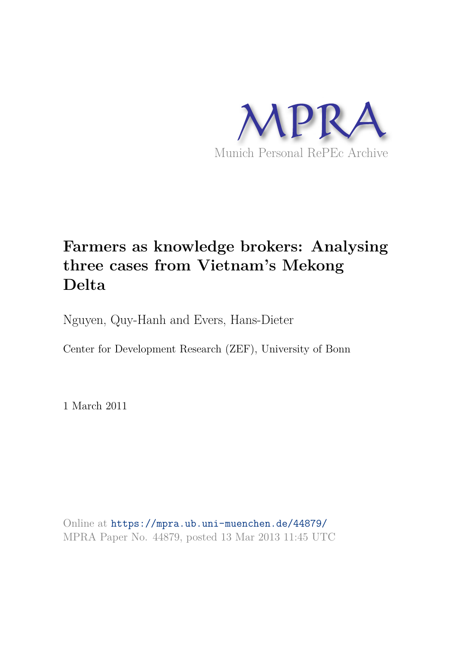

# **Farmers as knowledge brokers: Analysing three cases from Vietnam's Mekong Delta**

Nguyen, Quy-Hanh and Evers, Hans-Dieter

Center for Development Research (ZEF), University of Bonn

1 March 2011

Online at https://mpra.ub.uni-muenchen.de/44879/ MPRA Paper No. 44879, posted 13 Mar 2013 11:45 UTC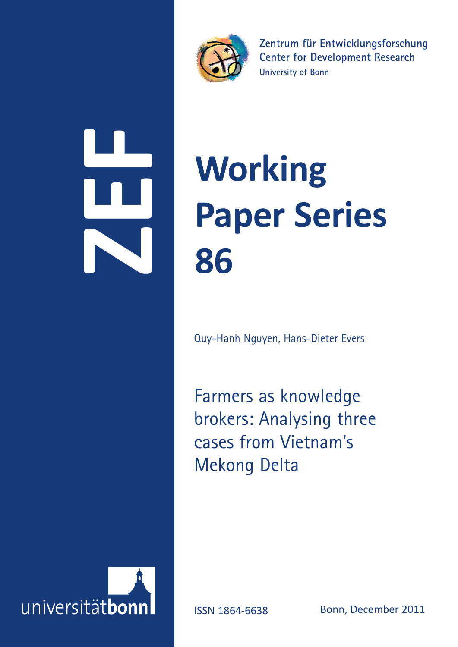

**Zentrum für Entwicklungsforschung Center for Development Research University of Bonn**

# **ZEF**

# **Working Paper Series 86**

Quy-Hanh Nguyen, Hans-Dieter Evers

Farmers as knowledge brokers: Analysing three cases from Vietnam's Mekong Delta



ISSN 1864-6638 Bonn, December 2011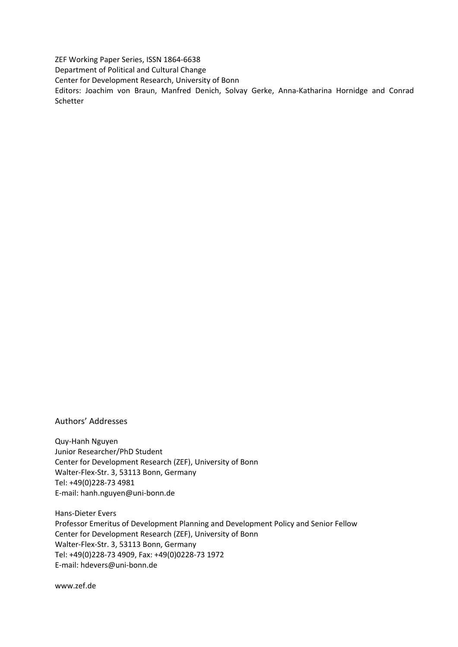ZEF Working Paper Series, ISSN 1864‐6638 Department of Political and Cultural Change Center for Development Research, University of Bonn Editors: Joachim von Braun, Manfred Denich, Solvay Gerke, Anna‐Katharina Hornidge and Conrad Schetter

Authors' Addresses

Quy‐Hanh Nguyen Junior Researcher/PhD Student Center for Development Research (ZEF), University of Bonn Walter‐Flex‐Str. 3, 53113 Bonn, Germany Tel: +49(0)228‐73 4981 E‐mail: hanh.nguyen@uni‐bonn.de

Hans‐Dieter Evers Professor Emeritus of Development Planning and Development Policy and Senior Fellow Center for Development Research (ZEF), University of Bonn Walter‐Flex‐Str. 3, 53113 Bonn, Germany Tel: +49(0)228‐73 4909, Fax: +49(0)0228‐73 1972 E‐mail: hdevers@uni‐bonn.de

www.zef.de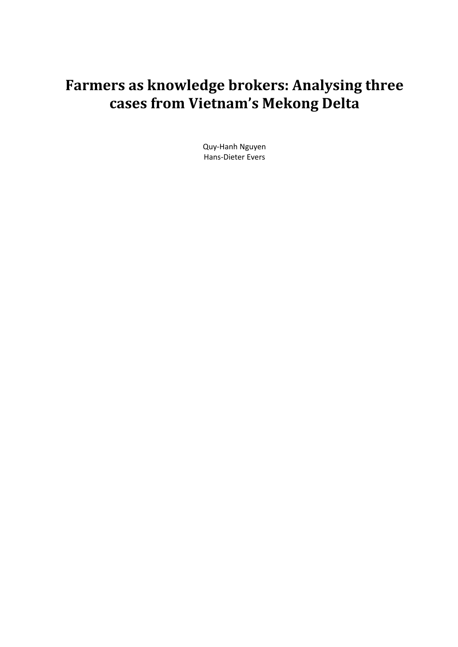# **Farmers as knowledge brokers: Analysing three cases from Vietnam's Mekong Delta**

Quy‐Hanh Nguyen Hans‐Dieter Evers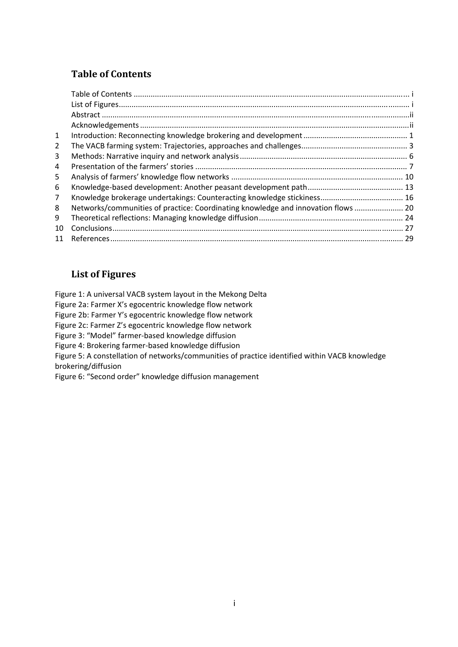# **Table of Contents**

| $\mathbf{1}$   |                                                                                   |  |
|----------------|-----------------------------------------------------------------------------------|--|
| $\overline{2}$ |                                                                                   |  |
| 3              |                                                                                   |  |
| 4              |                                                                                   |  |
| 5              |                                                                                   |  |
| 6              |                                                                                   |  |
| 7 <sup>1</sup> |                                                                                   |  |
| 8              | Networks/communities of practice: Coordinating knowledge and innovation flows  20 |  |
| 9              |                                                                                   |  |
| 10             |                                                                                   |  |
| 11             |                                                                                   |  |

### **List of Figures**

Figure 1: A universal VACB system layout in the Mekong Delta

Figure 2a: Farmer X's egocentric knowledge flow network

Figure 2b: Farmer Y's egocentric knowledge flow network

Figure 2c: Farmer Z's egocentric knowledge flow network

Figure 3: "Model" farmer‐based knowledge diffusion

Figure 4: Brokering farmer‐based knowledge diffusion

Figure 5: A constellation of networks/communities of practice identified within VACB knowledge brokering/diffusion

Figure 6: "Second order" knowledge diffusion management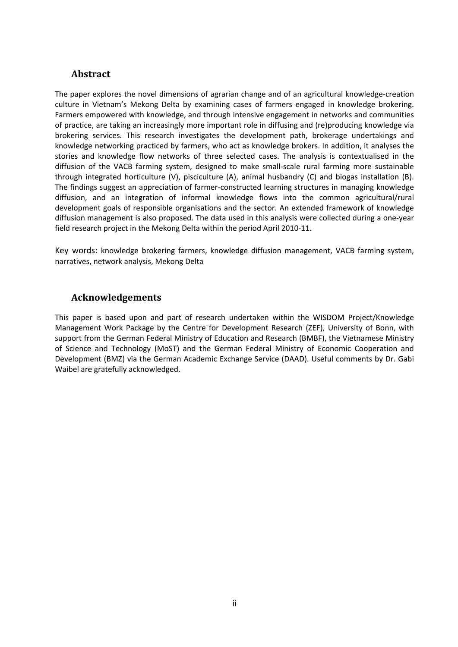#### **Abstract**

The paper explores the novel dimensions of agrarian change and of an agricultural knowledge-creation culture in Vietnam's Mekong Delta by examining cases of farmers engaged in knowledge brokering. Farmers empowered with knowledge, and through intensive engagement in networks and communities of practice, are taking an increasingly more important role in diffusing and (re)producing knowledge via brokering services. This research investigates the development path, brokerage undertakings and knowledge networking practiced by farmers, who act as knowledge brokers. In addition, it analyses the stories and knowledge flow networks of three selected cases. The analysis is contextualised in the diffusion of the VACB farming system, designed to make small‐scale rural farming more sustainable through integrated horticulture (V), pisciculture (A), animal husbandry (C) and biogas installation (B). The findings suggest an appreciation of farmer‐constructed learning structures in managing knowledge diffusion, and an integration of informal knowledge flows into the common agricultural/rural development goals of responsible organisations and the sector. An extended framework of knowledge diffusion management is also proposed. The data used in this analysis were collected during a one‐year field research project in the Mekong Delta within the period April 2010‐11.

Key words: knowledge brokering farmers, knowledge diffusion management, VACB farming system, narratives, network analysis, Mekong Delta

#### **Acknowledgements**

This paper is based upon and part of research undertaken within the WISDOM Project/Knowledge Management Work Package by the Centre for Development Research (ZEF), University of Bonn, with support from the German Federal Ministry of Education and Research (BMBF), the Vietnamese Ministry of Science and Technology (MoST) and the German Federal Ministry of Economic Cooperation and Development (BMZ) via the German Academic Exchange Service (DAAD). Useful comments by Dr. Gabi Waibel are gratefully acknowledged.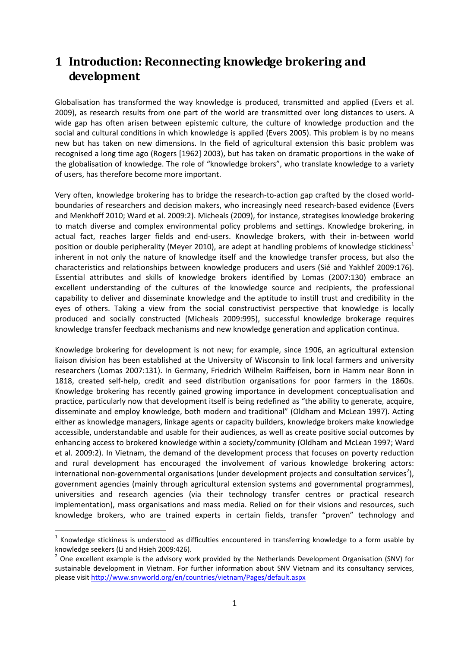# **1 Introduction: Reconnecting knowledge brokering and development**

Globalisation has transformed the way knowledge is produced, transmitted and applied (Evers et al. 2009), as research results from one part of the world are transmitted over long distances to users. A wide gap has often arisen between epistemic culture, the culture of knowledge production and the social and cultural conditions in which knowledge is applied (Evers 2005). This problem is by no means new but has taken on new dimensions. In the field of agricultural extension this basic problem was recognised a long time ago (Rogers [1962] 2003), but has taken on dramatic proportions in the wake of the globalisation of knowledge. The role of "knowledge brokers", who translate knowledge to a variety of users, has therefore become more important.

Very often, knowledge brokering has to bridge the research‐to‐action gap crafted by the closed world‐ boundaries of researchers and decision makers, who increasingly need research-based evidence (Evers and Menkhoff 2010; Ward et al. 2009:2). Micheals (2009), for instance, strategises knowledge brokering to match diverse and complex environmental policy problems and settings. Knowledge brokering, in actual fact, reaches larger fields and end-users. Knowledge brokers, with their in-between world position or double peripherality (Meyer 2010), are adept at handling problems of knowledge stickiness<sup>1</sup> inherent in not only the nature of knowledge itself and the knowledge transfer process, but also the characteristics and relationships between knowledge producers and users (Sié and Yakhlef 2009:176). Essential attributes and skills of knowledge brokers identified by Lomas (2007:130) embrace an excellent understanding of the cultures of the knowledge source and recipients, the professional capability to deliver and disseminate knowledge and the aptitude to instill trust and credibility in the eyes of others. Taking a view from the social constructivist perspective that knowledge is locally produced and socially constructed (Micheals 2009:995), successful knowledge brokerage requires knowledge transfer feedback mechanisms and new knowledge generation and application continua.

Knowledge brokering for development is not new; for example, since 1906, an agricultural extension liaison division has been established at the University of Wisconsin to link local farmers and university researchers (Lomas 2007:131). In Germany, Friedrich Wilhelm Raiffeisen, born in Hamm near Bonn in 1818, created self-help, credit and seed distribution organisations for poor farmers in the 1860s. Knowledge brokering has recently gained growing importance in development conceptualisation and practice, particularly now that development itself is being redefined as "the ability to generate, acquire, disseminate and employ knowledge, both modern and traditional" (Oldham and McLean 1997). Acting either as knowledge managers, linkage agents or capacity builders, knowledge brokers make knowledge accessible, understandable and usable for their audiences, as well as create positive social outcomes by enhancing access to brokered knowledge within a society/community (Oldham and McLean 1997; Ward et al. 2009:2). In Vietnam, the demand of the development process that focuses on poverty reduction and rural development has encouraged the involvement of various knowledge brokering actors: international non-governmental organisations (under development projects and consultation services<sup>2</sup>), government agencies (mainly through agricultural extension systems and governmental programmes), universities and research agencies (via their technology transfer centres or practical research implementation), mass organisations and mass media. Relied on for their visions and resources, such knowledge brokers, who are trained experts in certain fields, transfer "proven" technology and

 $^1$  Knowledge stickiness is understood as difficulties encountered in transferring knowledge to a form usable by knowledge seekers (Li and Hsieh 2009:426).

 $2$  One excellent example is the advisory work provided by the Netherlands Development Organisation (SNV) for sustainable development in Vietnam. For further information about SNV Vietnam and its consultancy services, please visit http://www.snvworld.org/en/countries/vietnam/Pages/default.aspx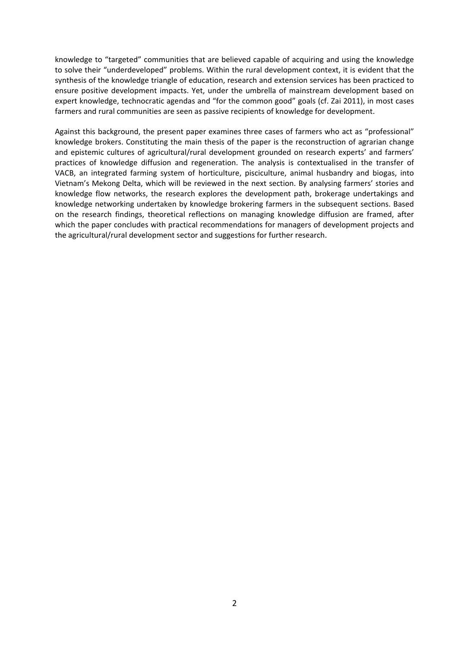knowledge to "targeted" communities that are believed capable of acquiring and using the knowledge to solve their "underdeveloped" problems. Within the rural development context, it is evident that the synthesis of the knowledge triangle of education, research and extension services has been practiced to ensure positive development impacts. Yet, under the umbrella of mainstream development based on expert knowledge, technocratic agendas and "for the common good" goals (cf. Zai 2011), in most cases farmers and rural communities are seen as passive recipients of knowledge for development.

Against this background, the present paper examines three cases of farmers who act as "professional" knowledge brokers. Constituting the main thesis of the paper is the reconstruction of agrarian change and epistemic cultures of agricultural/rural development grounded on research experts' and farmers' practices of knowledge diffusion and regeneration. The analysis is contextualised in the transfer of VACB, an integrated farming system of horticulture, pisciculture, animal husbandry and biogas, into Vietnam's Mekong Delta, which will be reviewed in the next section. By analysing farmers' stories and knowledge flow networks, the research explores the development path, brokerage undertakings and knowledge networking undertaken by knowledge brokering farmers in the subsequent sections. Based on the research findings, theoretical reflections on managing knowledge diffusion are framed, after which the paper concludes with practical recommendations for managers of development projects and the agricultural/rural development sector and suggestions for further research.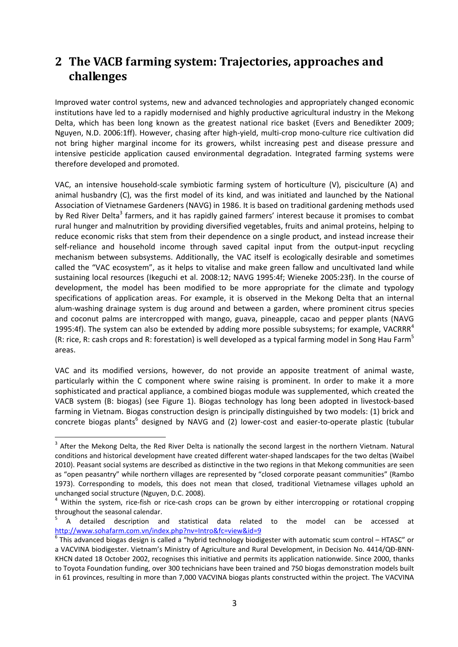# **2 The VACB farming system: Trajectories, approaches and challenges**

Improved water control systems, new and advanced technologies and appropriately changed economic institutions have led to a rapidly modernised and highly productive agricultural industry in the Mekong Delta, which has been long known as the greatest national rice basket (Evers and Benedikter 2009; Nguyen, N.D. 2006:1ff). However, chasing after high‐yield, multi‐crop mono‐culture rice cultivation did not bring higher marginal income for its growers, whilst increasing pest and disease pressure and intensive pesticide application caused environmental degradation. Integrated farming systems were therefore developed and promoted.

VAC, an intensive household‐scale symbiotic farming system of horticulture (V), pisciculture (A) and animal husbandry (C), was the first model of its kind, and was initiated and launched by the National Association of Vietnamese Gardeners (NAVG) in 1986. It is based on traditional gardening methods used by Red River Delta<sup>3</sup> farmers, and it has rapidly gained farmers' interest because it promises to combat rural hunger and malnutrition by providing diversified vegetables, fruits and animal proteins, helping to reduce economic risks that stem from their dependence on a single product, and instead increase their self-reliance and household income through saved capital input from the output-input recycling mechanism between subsystems. Additionally, the VAC itself is ecologically desirable and sometimes called the "VAC ecosystem", as it helps to vitalise and make green fallow and uncultivated land while sustaining local resources (Ikeguchi et al. 2008:12; NAVG 1995:4f; Wieneke 2005:23f). In the course of development, the model has been modified to be more appropriate for the climate and typology specifications of application areas. For example, it is observed in the Mekong Delta that an internal alum‐washing drainage system is dug around and between a garden, where prominent citrus species and coconut palms are intercropped with mango, guava, pineapple, cacao and pepper plants (NAVG 1995:4f). The system can also be extended by adding more possible subsystems; for example, VACRRR<sup>4</sup> (R: rice, R: cash crops and R: forestation) is well developed as a typical farming model in Song Hau Farm<sup>5</sup> areas.

VAC and its modified versions, however, do not provide an apposite treatment of animal waste, particularly within the C component where swine raising is prominent. In order to make it a more sophisticated and practical appliance, a combined biogas module was supplemented, which created the VACB system (B: biogas) (see Figure 1). Biogas technology has long been adopted in livestock‐based farming in Vietnam. Biogas construction design is principally distinguished by two models: (1) brick and concrete biogas plants<sup>6</sup> designed by NAVG and (2) lower-cost and easier-to-operate plastic (tubular

 $3$  After the Mekong Delta, the Red River Delta is nationally the second largest in the northern Vietnam. Natural conditions and historical development have created different water‐shaped landscapes for the two deltas (Waibel 2010). Peasant social systems are described as distinctive in the two regions in that Mekong communities are seen as "open peasantry" while northern villages are represented by "closed corporate peasant communities" (Rambo 1973). Corresponding to models, this does not mean that closed, traditional Vietnamese villages uphold an unchanged social structure (Nguyen, D.C. 2008).

 $4$  Within the system, rice-fish or rice-cash crops can be grown by either intercropping or rotational cropping throughout the seasonal calendar.

<sup>5</sup> A detailed description and statistical data related to the model can be accessed at http://www.sohafarm.com.vn/index.php?nv=Intro&fc=view&id=9

<sup>&</sup>lt;sup>6</sup> This advanced biogas design is called a "hybrid technology biodigester with automatic scum control – HTASC" or a VACVINA biodigester. Vietnam's Ministry of Agriculture and Rural Development, in Decision No. 4414/QĐ-BNN-KHCN dated 18 October 2002, recognises this initiative and permits its application nationwide. Since 2000, thanks to Toyota Foundation funding, over 300 technicians have been trained and 750 biogas demonstration models built in 61 provinces, resulting in more than 7,000 VACVINA biogas plants constructed within the project. The VACVINA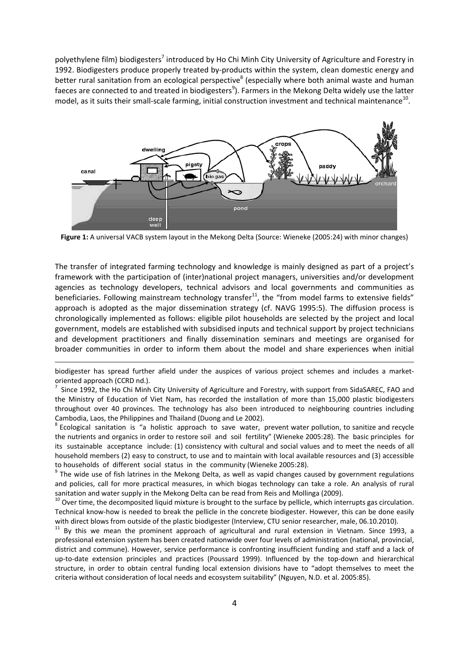polyethylene film) biodigesters<sup>7</sup> introduced by Ho Chi Minh City University of Agriculture and Forestry in 1992. Biodigesters produce properly treated by-products within the system, clean domestic energy and better rural sanitation from an ecological perspective<sup>8</sup> (especially where both animal waste and human faeces are connected to and treated in biodigesters $^9$ ). Farmers in the Mekong Delta widely use the latter model, as it suits their small-scale farming, initial construction investment and technical maintenance<sup>10</sup>.



**Figure 1:** A universal VACB system layout in the Mekong Delta (Source: Wieneke (2005:24) with minor changes)

The transfer of integrated farming technology and knowledge is mainly designed as part of a project's framework with the participation of (inter)national project managers, universities and/or development agencies as technology developers, technical advisors and local governments and communities as beneficiaries. Following mainstream technology transfer $^{11}$ , the "from model farms to extensive fields" approach is adopted as the major dissemination strategy (cf. NAVG 1995:5). The diffusion process is chronologically implemented as follows: eligible pilot households are selected by the project and local government, models are established with subsidised inputs and technical support by project technicians and development practitioners and finally dissemination seminars and meetings are organised for broader communities in order to inform them about the model and share experiences when initial

biodigester has spread further afield under the auspices of various project schemes and includes a marketoriented approach (CCRD nd.).

 $\overline{a}$ 

<sup>7</sup> Since 1992, the Ho Chi Minh City University of Agriculture and Forestry, with support from SidaSAREC, FAO and the Ministry of Education of Viet Nam, has recorded the installation of more than 15,000 plastic biodigesters throughout over 40 provinces. The technology has also been introduced to neighbouring countries including Cambodia, Laos, the Philippines and Thailand (Duong and Le 2002).

 $^8$  Ecological sanitation is "a holistic approach to save water, prevent water pollution, to sanitize and recycle the nutrients and organics in order to restore soil and soil fertility" (Wieneke 2005:28). The basic principles for its sustainable acceptance include: (1) consistency with cultural and social values and to meet the needs of all household members (2) easy to construct, to use and to maintain with local available resources and (3) accessible to households of different social status in the community (Wieneke 2005:28).

<sup>9</sup> The wide use of fish latrines in the Mekong Delta, as well as vapid changes caused by government regulations and policies, call for more practical measures, in which biogas technology can take a role. An analysis of rural sanitation and water supply in the Mekong Delta can be read from Reis and Mollinga (2009).

 $10$  Over time, the decomposited liquid mixture is brought to the surface by pellicle, which interrupts gas circulation. Technical know-how is needed to break the pellicle in the concrete biodigester. However, this can be done easily with direct blows from outside of the plastic biodigester (Interview, CTU senior researcher, male, 06.10.2010).

 $11$  By this we mean the prominent approach of agricultural and rural extension in Vietnam. Since 1993, a professional extension system has been created nationwide over four levels of administration (national, provincial, district and commune). However, service performance is confronting insufficient funding and staff and a lack of up-to-date extension principles and practices (Poussard 1999). Influenced by the top-down and hierarchical structure, in order to obtain central funding local extension divisions have to "adopt themselves to meet the criteria without consideration of local needs and ecosystem suitability" (Nguyen, N.D. et al. 2005:85).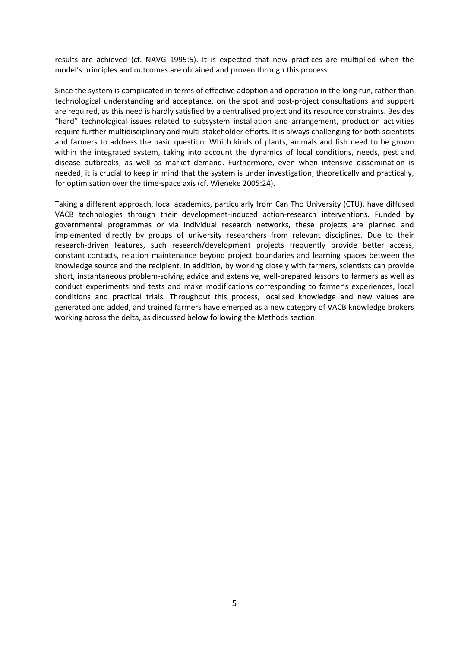results are achieved (cf. NAVG 1995:5). It is expected that new practices are multiplied when the model's principles and outcomes are obtained and proven through this process.

Since the system is complicated in terms of effective adoption and operation in the long run, rather than technological understanding and acceptance, on the spot and post‐project consultations and support are required, as this need is hardly satisfied by a centralised project and its resource constraints. Besides "hard" technological issues related to subsystem installation and arrangement, production activities require further multidisciplinary and multi‐stakeholder efforts. It is always challenging for both scientists and farmers to address the basic question: Which kinds of plants, animals and fish need to be grown within the integrated system, taking into account the dynamics of local conditions, needs, pest and disease outbreaks, as well as market demand. Furthermore, even when intensive dissemination is needed, it is crucial to keep in mind that the system is under investigation, theoretically and practically, for optimisation over the time-space axis (cf. Wieneke 2005:24).

Taking a different approach, local academics, particularly from Can Tho University (CTU), have diffused VACB technologies through their development‐induced action‐research interventions. Funded by governmental programmes or via individual research networks, these projects are planned and implemented directly by groups of university researchers from relevant disciplines. Due to their research-driven features, such research/development projects frequently provide better access, constant contacts, relation maintenance beyond project boundaries and learning spaces between the knowledge source and the recipient. In addition, by working closely with farmers, scientists can provide short, instantaneous problem‐solving advice and extensive, well‐prepared lessons to farmers as well as conduct experiments and tests and make modifications corresponding to farmer's experiences, local conditions and practical trials. Throughout this process, localised knowledge and new values are generated and added, and trained farmers have emerged as a new category of VACB knowledge brokers working across the delta, as discussed below following the Methods section.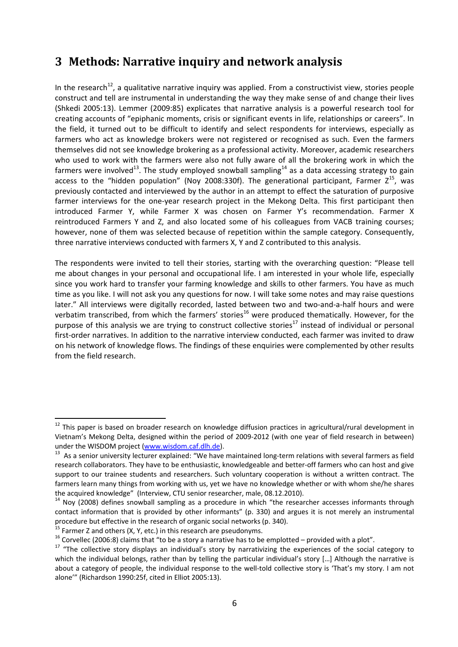# **3 Methods: Narrative inquiry and network analysis**

In the research<sup>12</sup>, a qualitative narrative inquiry was applied. From a constructivist view, stories people construct and tell are instrumental in understanding the way they make sense of and change their lives (Shkedi 2005:13). Lemmer (2009:85) explicates that narrative analysis is a powerful research tool for creating accounts of "epiphanic moments, crisis or significant events in life, relationships or careers". In the field, it turned out to be difficult to identify and select respondents for interviews, especially as farmers who act as knowledge brokers were not registered or recognised as such. Even the farmers themselves did not see knowledge brokering as a professional activity. Moreover, academic researchers who used to work with the farmers were also not fully aware of all the brokering work in which the farmers were involved<sup>13</sup>. The study employed snowball sampling<sup>14</sup> as a data accessing strategy to gain access to the "hidden population" (Noy 2008:330f). The generational participant, Farmer  $Z^{15}$ , was previously contacted and interviewed by the author in an attempt to effect the saturation of purposive farmer interviews for the one-year research project in the Mekong Delta. This first participant then introduced Farmer Y, while Farmer X was chosen on Farmer Y's recommendation. Farmer X reintroduced Farmers Y and Z, and also located some of his colleagues from VACB training courses; however, none of them was selected because of repetition within the sample category. Consequently, three narrative interviews conducted with farmers X, Y and Z contributed to this analysis.

The respondents were invited to tell their stories, starting with the overarching question: "Please tell me about changes in your personal and occupational life. I am interested in your whole life, especially since you work hard to transfer your farming knowledge and skills to other farmers. You have as much time as you like. I will not ask you any questions for now. I will take some notes and may raise questions later." All interviews were digitally recorded, lasted between two and two-and-a-half hours and were verbatim transcribed, from which the farmers' stories<sup>16</sup> were produced thematically. However, for the purpose of this analysis we are trying to construct collective stories<sup>17</sup> instead of individual or personal first-order narratives. In addition to the narrative interview conducted, each farmer was invited to draw on his network of knowledge flows. The findings of these enquiries were complemented by other results from the field research.

 $12$  This paper is based on broader research on knowledge diffusion practices in agricultural/rural development in Vietnam's Mekong Delta, designed within the period of 2009‐2012 (with one year of field research in between)

under the WISDOM project (<u>www.wisdom.caf.dlh.de</u>).<br><sup>13</sup> As a senior university lecturer explained: "We have maintained long-term relations with several farmers as field research collaborators. They have to be enthusiastic, knowledgeable and better-off farmers who can host and give support to our trainee students and researchers. Such voluntary cooperation is without a written contract. The farmers learn many things from working with us, yet we have no knowledge whether or with whom she/he shares the acquired knowledge" (Interview, CTU senior researcher, male, 08.12.2010).

 $14$  Noy (2008) defines snowball sampling as a procedure in which "the researcher accesses informants through contact information that is provided by other informants" (p. 330) and argues it is not merely an instrumental procedure but effective in the research of organic social networks (p. 340).

 $15$  Farmer Z and others (X, Y, etc.) in this research are pseudonyms.

 $16$  Corvellec (2006:8) claims that "to be a story a narrative has to be emplotted – provided with a plot".

<sup>&</sup>lt;sup>17</sup> "The collective story displays an individual's story by narrativizing the experiences of the social category to which the individual belongs, rather than by telling the particular individual's story [...] Although the narrative is about a category of people, the individual response to the well-told collective story is 'That's my story. I am not alone'" (Richardson 1990:25f, cited in Elliot 2005:13).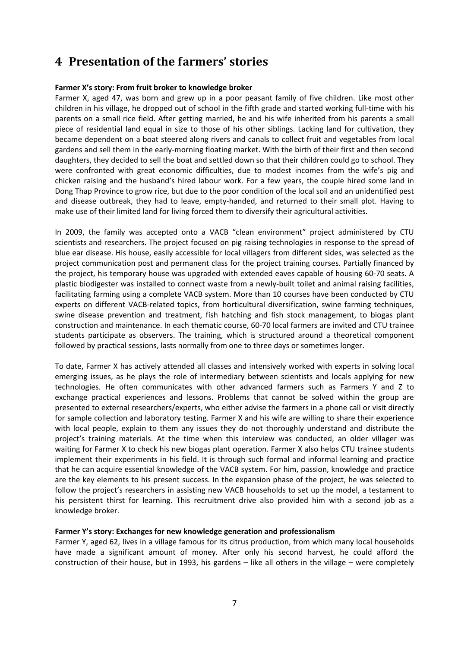# **4 Presentation of the farmers' stories**

#### **Farmer X's story: From fruit broker to knowledge broker**

Farmer X, aged 47, was born and grew up in a poor peasant family of five children. Like most other children in his village, he dropped out of school in the fifth grade and started working full‐time with his parents on a small rice field. After getting married, he and his wife inherited from his parents a small piece of residential land equal in size to those of his other siblings. Lacking land for cultivation, they became dependent on a boat steered along rivers and canals to collect fruit and vegetables from local gardens and sell them in the early-morning floating market. With the birth of their first and then second daughters, they decided to sell the boat and settled down so that their children could go to school. They were confronted with great economic difficulties, due to modest incomes from the wife's pig and chicken raising and the husband's hired labour work. For a few years, the couple hired some land in Dong Thap Province to grow rice, but due to the poor condition of the local soil and an unidentified pest and disease outbreak, they had to leave, empty-handed, and returned to their small plot. Having to make use of their limited land for living forced them to diversify their agricultural activities.

In 2009, the family was accepted onto a VACB "clean environment" project administered by CTU scientists and researchers. The project focused on pig raising technologies in response to the spread of blue ear disease. His house, easily accessible for local villagers from different sides, was selected as the project communication post and permanent class for the project training courses. Partially financed by the project, his temporary house was upgraded with extended eaves capable of housing 60‐70 seats. A plastic biodigester was installed to connect waste from a newly‐built toilet and animal raising facilities, facilitating farming using a complete VACB system. More than 10 courses have been conducted by CTU experts on different VACB‐related topics, from horticultural diversification, swine farming techniques, swine disease prevention and treatment, fish hatching and fish stock management, to biogas plant construction and maintenance. In each thematic course, 60‐70 local farmers are invited and CTU trainee students participate as observers. The training, which is structured around a theoretical component followed by practical sessions, lasts normally from one to three days or sometimes longer.

To date, Farmer X has actively attended all classes and intensively worked with experts in solving local emerging issues, as he plays the role of intermediary between scientists and locals applying for new technologies. He often communicates with other advanced farmers such as Farmers Y and Z to exchange practical experiences and lessons. Problems that cannot be solved within the group are presented to external researchers/experts, who either advise the farmers in a phone call or visit directly for sample collection and laboratory testing. Farmer X and his wife are willing to share their experience with local people, explain to them any issues they do not thoroughly understand and distribute the project's training materials. At the time when this interview was conducted, an older villager was waiting for Farmer X to check his new biogas plant operation. Farmer X also helps CTU trainee students implement their experiments in his field. It is through such formal and informal learning and practice that he can acquire essential knowledge of the VACB system. For him, passion, knowledge and practice are the key elements to his present success. In the expansion phase of the project, he was selected to follow the project's researchers in assisting new VACB households to set up the model, a testament to his persistent thirst for learning. This recruitment drive also provided him with a second job as a knowledge broker.

#### **Farmer Y's story: Exchanges for new knowledge generation and professionalism**

Farmer Y, aged 62, lives in a village famous for its citrus production, from which many local households have made a significant amount of money. After only his second harvest, he could afford the construction of their house, but in 1993, his gardens – like all others in the village – were completely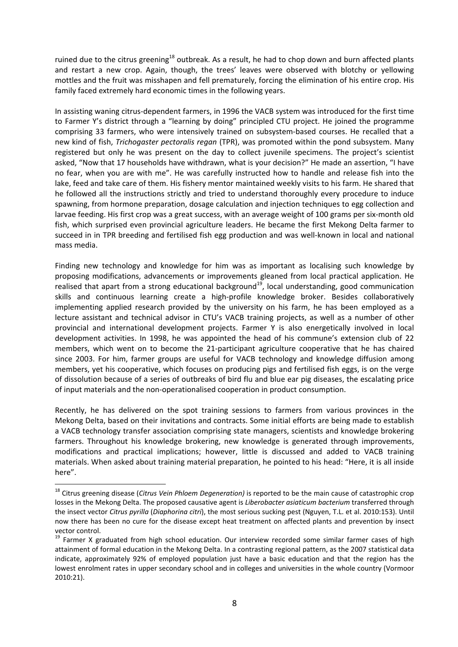ruined due to the citrus greening<sup>18</sup> outbreak. As a result, he had to chop down and burn affected plants and restart a new crop. Again, though, the trees' leaves were observed with blotchy or yellowing mottles and the fruit was misshapen and fell prematurely, forcing the elimination of his entire crop. His family faced extremely hard economic times in the following years.

In assisting waning citrus‐dependent farmers, in 1996 the VACB system was introduced for the first time to Farmer Y's district through a "learning by doing" principled CTU project. He joined the programme comprising 33 farmers, who were intensively trained on subsystem-based courses. He recalled that a new kind of fish, *Trichogaster pectoralis regan* (TPR), was promoted within the pond subsystem. Many registered but only he was present on the day to collect juvenile specimens. The project's scientist asked, "Now that 17 households have withdrawn, what is your decision?" He made an assertion, "I have no fear, when you are with me". He was carefully instructed how to handle and release fish into the lake, feed and take care of them. His fishery mentor maintained weekly visits to his farm. He shared that he followed all the instructions strictly and tried to understand thoroughly every procedure to induce spawning, from hormone preparation, dosage calculation and injection techniques to egg collection and larvae feeding. His first crop was a great success, with an average weight of 100 grams per six‐month old fish, which surprised even provincial agriculture leaders. He became the first Mekong Delta farmer to succeed in in TPR breeding and fertilised fish egg production and was well‐known in local and national mass media.

Finding new technology and knowledge for him was as important as localising such knowledge by proposing modifications, advancements or improvements gleaned from local practical application. He realised that apart from a strong educational background<sup>19</sup>, local understanding, good communication skills and continuous learning create a high‐profile knowledge broker. Besides collaboratively implementing applied research provided by the university on his farm, he has been employed as a lecture assistant and technical advisor in CTU's VACB training projects, as well as a number of other provincial and international development projects. Farmer Y is also energetically involved in local development activities. In 1998, he was appointed the head of his commune's extension club of 22 members, which went on to become the 21-participant agriculture cooperative that he has chaired since 2003. For him, farmer groups are useful for VACB technology and knowledge diffusion among members, yet his cooperative, which focuses on producing pigs and fertilised fish eggs, is on the verge of dissolution because of a series of outbreaks of bird flu and blue ear pig diseases, the escalating price of input materials and the non‐operationalised cooperation in product consumption.

Recently, he has delivered on the spot training sessions to farmers from various provinces in the Mekong Delta, based on their invitations and contracts. Some initial efforts are being made to establish a VACB technology transfer association comprising state managers, scientists and knowledge brokering farmers. Throughout his knowledge brokering, new knowledge is generated through improvements, modifications and practical implications; however, little is discussed and added to VACB training materials. When asked about training material preparation, he pointed to his head: "Here, it is all inside here".  $\overline{a}$ 

<sup>18</sup> Citrus greening disease (*Citrus Vein Phloem Degeneration)* is reported to be the main cause of catastrophic crop losses in the Mekong Delta. The proposed causative agent is *Liberobacter asiaticum bacterium* transferred through the insect vector *Citrus pyrilla* (*Diaphorina citri*), the most serious sucking pest (Nguyen, T.L. et al. 2010:153). Until now there has been no cure for the disease except heat treatment on affected plants and prevention by insect vector control.

<sup>&</sup>lt;sup>19</sup> Farmer X graduated from high school education. Our interview recorded some similar farmer cases of high attainment of formal education in the Mekong Delta. In a contrasting regional pattern, as the 2007 statistical data indicate, approximately 92% of employed population just have a basic education and that the region has the lowest enrolment rates in upper secondary school and in colleges and universities in the whole country (Vormoor 2010:21).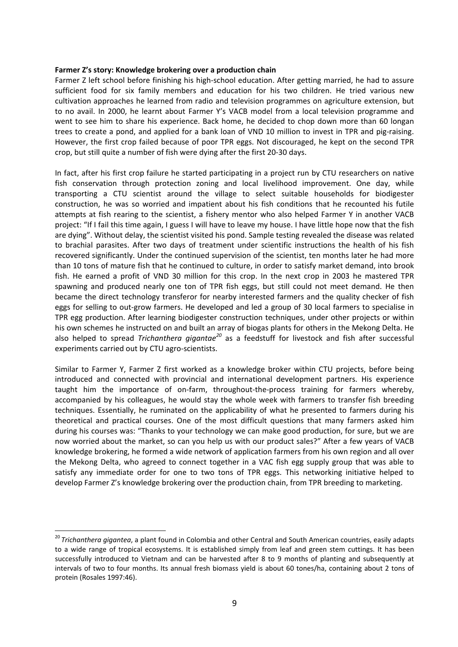#### **Farmer Z's story: Knowledge brokering over a production chain**

Farmer Z left school before finishing his high‐school education. After getting married, he had to assure sufficient food for six family members and education for his two children. He tried various new cultivation approaches he learned from radio and television programmes on agriculture extension, but to no avail. In 2000, he learnt about Farmer Y's VACB model from a local television programme and went to see him to share his experience. Back home, he decided to chop down more than 60 longan trees to create a pond, and applied for a bank loan of VND 10 million to invest in TPR and pig‐raising. However, the first crop failed because of poor TPR eggs. Not discouraged, he kept on the second TPR crop, but still quite a number of fish were dying after the first 20‐30 days.

In fact, after his first crop failure he started participating in a project run by CTU researchers on native fish conservation through protection zoning and local livelihood improvement. One day, while transporting a CTU scientist around the village to select suitable households for biodigester construction, he was so worried and impatient about his fish conditions that he recounted his futile attempts at fish rearing to the scientist, a fishery mentor who also helped Farmer Y in another VACB project: "If I fail this time again, I guess I will have to leave my house. I have little hope now that the fish are dying". Without delay, the scientist visited his pond. Sample testing revealed the disease was related to brachial parasites. After two days of treatment under scientific instructions the health of his fish recovered significantly. Under the continued supervision of the scientist, ten months later he had more than 10 tons of mature fish that he continued to culture, in order to satisfy market demand, into brook fish. He earned a profit of VND 30 million for this crop. In the next crop in 2003 he mastered TPR spawning and produced nearly one ton of TPR fish eggs, but still could not meet demand. He then became the direct technology transferor for nearby interested farmers and the quality checker of fish eggs for selling to out‐grow farmers. He developed and led a group of 30 local farmers to specialise in TPR egg production. After learning biodigester construction techniques, under other projects or within his own schemes he instructed on and built an array of biogas plants for others in the Mekong Delta. He also helped to spread *Trichanthera gigantae<sup>20</sup>* as a feedstuff for livestock and fish after successful experiments carried out by CTU agro‐scientists.

Similar to Farmer Y, Farmer Z first worked as a knowledge broker within CTU projects, before being introduced and connected with provincial and international development partners. His experience taught him the importance of on-farm, throughout-the-process training for farmers whereby, accompanied by his colleagues, he would stay the whole week with farmers to transfer fish breeding techniques. Essentially, he ruminated on the applicability of what he presented to farmers during his theoretical and practical courses. One of the most difficult questions that many farmers asked him during his courses was: "Thanks to your technology we can make good production, for sure, but we are now worried about the market, so can you help us with our product sales?" After a few years of VACB knowledge brokering, he formed a wide network of application farmers from his own region and all over the Mekong Delta, who agreed to connect together in a VAC fish egg supply group that was able to satisfy any immediate order for one to two tons of TPR eggs. This networking initiative helped to develop Farmer Z's knowledge brokering over the production chain, from TPR breeding to marketing.

<sup>20</sup> *Trichanthera gigantea*, a plant found in Colombia and other Central and South American countries, easily adapts to a wide range of tropical ecosystems. It is established simply from leaf and green stem cuttings. It has been successfully introduced to Vietnam and can be harvested after 8 to 9 months of planting and subsequently at intervals of two to four months. Its annual fresh biomass yield is about 60 tones/ha, containing about 2 tons of protein (Rosales 1997:46).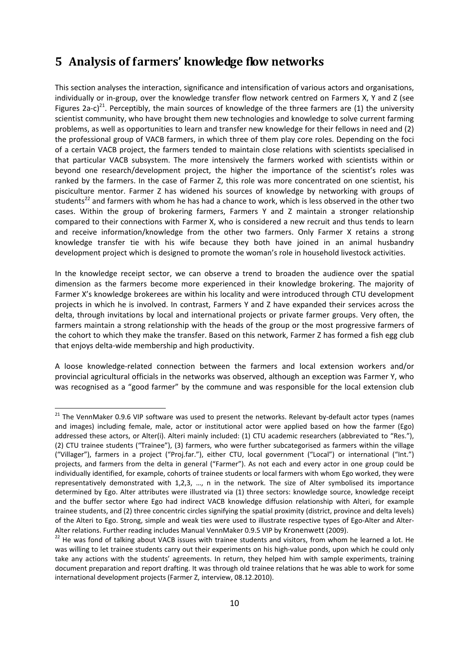# **5 Analysis of farmers' knowledge flow networks**

This section analyses the interaction, significance and intensification of various actors and organisations, individually or in‐group, over the knowledge transfer flow network centred on Farmers X, Y and Z (see Figures 2a-c)<sup>21</sup>. Perceptibly, the main sources of knowledge of the three farmers are (1) the university scientist community, who have brought them new technologies and knowledge to solve current farming problems, as well as opportunities to learn and transfer new knowledge for their fellows in need and (2) the professional group of VACB farmers, in which three of them play core roles. Depending on the foci of a certain VACB project, the farmers tended to maintain close relations with scientists specialised in that particular VACB subsystem. The more intensively the farmers worked with scientists within or beyond one research/development project, the higher the importance of the scientist's roles was ranked by the farmers. In the case of Farmer Z, this role was more concentrated on one scientist, his pisciculture mentor. Farmer Z has widened his sources of knowledge by networking with groups of students<sup>22</sup> and farmers with whom he has had a chance to work, which is less observed in the other two cases. Within the group of brokering farmers, Farmers Y and Z maintain a stronger relationship compared to their connections with Farmer X, who is considered a new recruit and thus tends to learn and receive information/knowledge from the other two farmers. Only Farmer X retains a strong knowledge transfer tie with his wife because they both have joined in an animal husbandry development project which is designed to promote the woman's role in household livestock activities.

In the knowledge receipt sector, we can observe a trend to broaden the audience over the spatial dimension as the farmers become more experienced in their knowledge brokering. The majority of Farmer X's knowledge brokerees are within his locality and were introduced through CTU development projects in which he is involved. In contrast, Farmers Y and Z have expanded their services across the delta, through invitations by local and international projects or private farmer groups. Very often, the farmers maintain a strong relationship with the heads of the group or the most progressive farmers of the cohort to which they make the transfer. Based on this network, Farmer Z has formed a fish egg club that enjoys delta‐wide membership and high productivity.

A loose knowledge‐related connection between the farmers and local extension workers and/or provincial agricultural officials in the networks was observed, although an exception was Farmer Y, who was recognised as a "good farmer" by the commune and was responsible for the local extension club

<sup>&</sup>lt;sup>21</sup> The VennMaker 0.9.6 VIP software was used to present the networks. Relevant by-default actor types (names and images) including female, male, actor or institutional actor were applied based on how the farmer (Ego) addressed these actors, or Alter(i). Alteri mainly included: (1) CTU academic researchers (abbreviated to "Res."), (2) CTU trainee students ("Trainee"), (3) farmers, who were further subcategorised as farmers within the village ("Villager"), farmers in a project ("Proj.far."), either CTU, local government ("Local") or international ("Int.") projects, and farmers from the delta in general ("Farmer"). As not each and every actor in one group could be individually identified, for example, cohorts of trainee students or local farmers with whom Ego worked, they were representatively demonstrated with 1,2,3, …, n in the network. The size of Alter symbolised its importance determined by Ego. Alter attributes were illustrated via (1) three sectors: knowledge source, knowledge receipt and the buffer sector where Ego had indirect VACB knowledge diffusion relationship with Alteri, for example trainee students, and (2) three concentric circles signifying the spatial proximity (district, province and delta levels) of the Alteri to Ego. Strong, simple and weak ties were used to illustrate respective types of Ego‐Alter and Alter‐ Alter relations. Further reading includes Manual VennMaker 0.9.5 VIP by Kronenwett (2009).

<sup>&</sup>lt;sup>22</sup> He was fond of talking about VACB issues with trainee students and visitors, from whom he learned a lot. He was willing to let trainee students carry out their experiments on his high-value ponds, upon which he could only take any actions with the students' agreements. In return, they helped him with sample experiments, training document preparation and report drafting. It was through old trainee relations that he was able to work for some international development projects (Farmer Z, interview, 08.12.2010).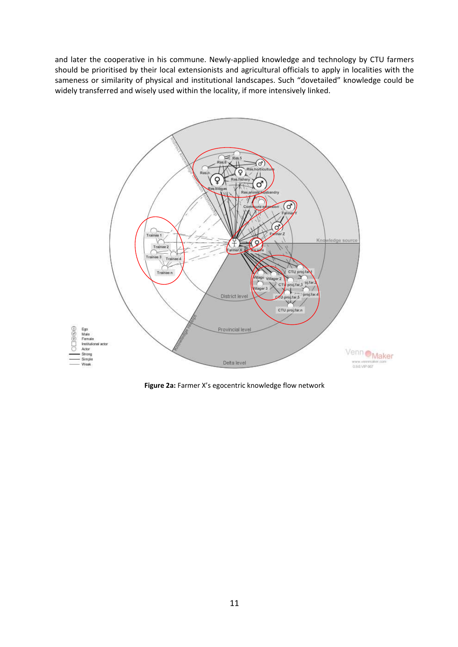and later the cooperative in his commune. Newly-applied knowledge and technology by CTU farmers should be prioritised by their local extensionists and agricultural officials to apply in localities with the sameness or similarity of physical and institutional landscapes. Such "dovetailed" knowledge could be widely transferred and wisely used within the locality, if more intensively linked.



**Figure 2a:** Farmer X's egocentric knowledge flow network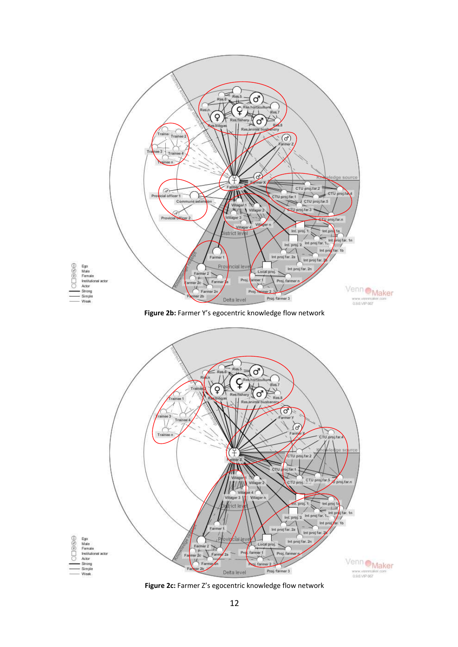

**Figure 2c:** Farmer Z's egocentric knowledge flow network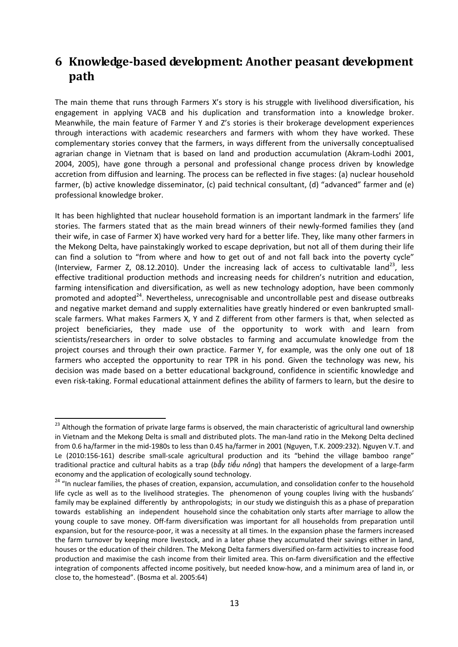# **6 Knowledge‐based development: Another peasant development path**

The main theme that runs through Farmers X's story is his struggle with livelihood diversification, his engagement in applying VACB and his duplication and transformation into a knowledge broker. Meanwhile, the main feature of Farmer Y and Z's stories is their brokerage development experiences through interactions with academic researchers and farmers with whom they have worked. These complementary stories convey that the farmers, in ways different from the universally conceptualised agrarian change in Vietnam that is based on land and production accumulation (Akram‐Lodhi 2001, 2004, 2005), have gone through a personal and professional change process driven by knowledge accretion from diffusion and learning. The process can be reflected in five stages: (a) nuclear household farmer, (b) active knowledge disseminator, (c) paid technical consultant, (d) "advanced" farmer and (e) professional knowledge broker.

It has been highlighted that nuclear household formation is an important landmark in the farmers' life stories. The farmers stated that as the main bread winners of their newly-formed families they (and their wife, in case of Farmer X) have worked very hard for a better life. They, like many other farmers in the Mekong Delta, have painstakingly worked to escape deprivation, but not all of them during their life can find a solution to "from where and how to get out of and not fall back into the poverty cycle" (Interview, Farmer Z, 08.12.2010). Under the increasing lack of access to cultivatable land<sup>23</sup>, less effective traditional production methods and increasing needs for children's nutrition and education, farming intensification and diversification, as well as new technology adoption, have been commonly promoted and adopted<sup>24</sup>. Nevertheless, unrecognisable and uncontrollable pest and disease outbreaks and negative market demand and supply externalities have greatly hindered or even bankrupted smallscale farmers. What makes Farmers X, Y and Z different from other farmers is that, when selected as project beneficiaries, they made use of the opportunity to work with and learn from scientists/researchers in order to solve obstacles to farming and accumulate knowledge from the project courses and through their own practice. Farmer Y, for example, was the only one out of 18 farmers who accepted the opportunity to rear TPR in his pond. Given the technology was new, his decision was made based on a better educational background, confidence in scientific knowledge and even risk-taking. Formal educational attainment defines the ability of farmers to learn, but the desire to

<sup>&</sup>lt;sup>23</sup> Although the formation of private large farms is observed, the main characteristic of agricultural land ownership in Vietnam and the Mekong Delta is small and distributed plots. The man-land ratio in the Mekong Delta declined from 0.6 ha/farmer in the mid‐1980s to less than 0.45 ha/farmer in 2001 (Nguyen, T.K. 2009:232). Nguyen V.T. and Le (2010:156-161) describe small-scale agricultural production and its "behind the village bamboo range" traditional practice and cultural habits as a trap (*bẫy tiểu nông*) that hampers the development of a large‐farm economy and the application of ecologically sound technology.

<sup>&</sup>lt;sup>24</sup> "In nuclear families, the phases of creation, expansion, accumulation, and consolidation confer to the household life cycle as well as to the livelihood strategies. The phenomenon of young couples living with the husbands' family may be explained differently by anthropologists; in our study we distinguish this as a phase of preparation towards establishing an independent household since the cohabitation only starts after marriage to allow the young couple to save money. Off‐farm diversification was important for all households from preparation until expansion, but for the resource‐poor, it was a necessity at all times. In the expansion phase the farmers increased the farm turnover by keeping more livestock, and in a later phase they accumulated their savings either in land, houses or the education of their children. The Mekong Delta farmers diversified on‐farm activities to increase food production and maximise the cash income from their limited area. This on‐farm diversification and the effective integration of components affected income positively, but needed know-how, and a minimum area of land in, or close to, the homestead". (Bosma et al. 2005:64)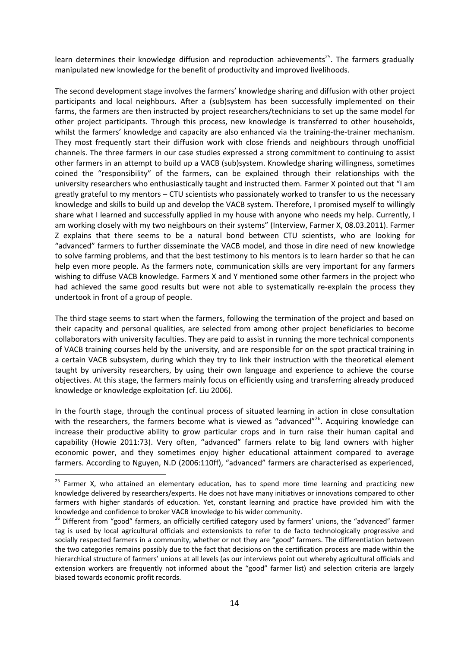learn determines their knowledge diffusion and reproduction achievements<sup>25</sup>. The farmers gradually manipulated new knowledge for the benefit of productivity and improved livelihoods.

The second development stage involves the farmers' knowledge sharing and diffusion with other project participants and local neighbours. After a (sub)system has been successfully implemented on their farms, the farmers are then instructed by project researchers/technicians to set up the same model for other project participants. Through this process, new knowledge is transferred to other households, whilst the farmers' knowledge and capacity are also enhanced via the training-the-trainer mechanism. They most frequently start their diffusion work with close friends and neighbours through unofficial channels. The three farmers in our case studies expressed a strong commitment to continuing to assist other farmers in an attempt to build up a VACB (sub)system. Knowledge sharing willingness, sometimes coined the "responsibility" of the farmers, can be explained through their relationships with the university researchers who enthusiastically taught and instructed them. Farmer X pointed out that "I am greatly grateful to my mentors – CTU scientists who passionately worked to transfer to us the necessary knowledge and skills to build up and develop the VACB system. Therefore, I promised myself to willingly share what I learned and successfully applied in my house with anyone who needs my help. Currently, I am working closely with my two neighbours on their systems" (Interview, Farmer X, 08.03.2011). Farmer Z explains that there seems to be a natural bond between CTU scientists, who are looking for "advanced" farmers to further disseminate the VACB model, and those in dire need of new knowledge to solve farming problems, and that the best testimony to his mentors is to learn harder so that he can help even more people. As the farmers note, communication skills are very important for any farmers wishing to diffuse VACB knowledge. Farmers X and Y mentioned some other farmers in the project who had achieved the same good results but were not able to systematically re-explain the process they undertook in front of a group of people.

The third stage seems to start when the farmers, following the termination of the project and based on their capacity and personal qualities, are selected from among other project beneficiaries to become collaborators with university faculties. They are paid to assist in running the more technical components of VACB training courses held by the university, and are responsible for on the spot practical training in a certain VACB subsystem, during which they try to link their instruction with the theoretical element taught by university researchers, by using their own language and experience to achieve the course objectives. At this stage, the farmers mainly focus on efficiently using and transferring already produced knowledge or knowledge exploitation (cf. Liu 2006).

In the fourth stage, through the continual process of situated learning in action in close consultation with the researchers, the farmers become what is viewed as "advanced"<sup>26</sup>. Acquiring knowledge can increase their productive ability to grow particular crops and in turn raise their human capital and capability (Howie 2011:73). Very often, "advanced" farmers relate to big land owners with higher economic power, and they sometimes enjoy higher educational attainment compared to average farmers. According to Nguyen, N.D (2006:110ff), "advanced" farmers are characterised as experienced,  $\overline{a}$ 

 $25$  Farmer X, who attained an elementary education, has to spend more time learning and practicing new knowledge delivered by researchers/experts. He does not have many initiatives or innovations compared to other farmers with higher standards of education. Yet, constant learning and practice have provided him with the knowledge and confidence to broker VACB knowledge to his wider community.

<sup>&</sup>lt;sup>26</sup> Different from "good" farmers, an officially certified category used by farmers' unions, the "advanced" farmer tag is used by local agricultural officials and extensionists to refer to de facto technologically progressive and socially respected farmers in a community, whether or not they are "good" farmers. The differentiation between the two categories remains possibly due to the fact that decisions on the certification process are made within the hierarchical structure of farmers' unions at all levels (as our interviews point out whereby agricultural officials and extension workers are frequently not informed about the "good" farmer list) and selection criteria are largely biased towards economic profit records.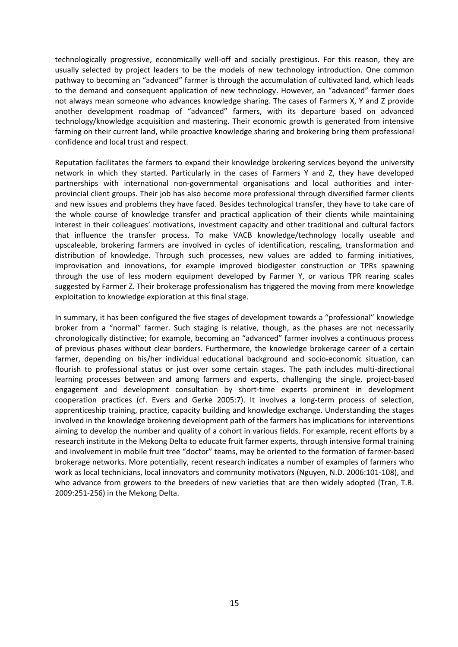technologically progressive, economically well‐off and socially prestigious. For this reason, they are usually selected by project leaders to be the models of new technology introduction. One common pathway to becoming an "advanced" farmer is through the accumulation of cultivated land, which leads to the demand and consequent application of new technology. However, an "advanced" farmer does not always mean someone who advances knowledge sharing. The cases of Farmers X, Y and Z provide another development roadmap of "advanced" farmers, with its departure based on advanced technology/knowledge acquisition and mastering. Their economic growth is generated from intensive farming on their current land, while proactive knowledge sharing and brokering bring them professional confidence and local trust and respect.

Reputation facilitates the farmers to expand their knowledge brokering services beyond the university network in which they started. Particularly in the cases of Farmers Y and Z, they have developed partnerships with international non‐governmental organisations and local authorities and inter‐ provincial client groups. Their job has also become more professional through diversified farmer clients and new issues and problems they have faced. Besides technological transfer, they have to take care of the whole course of knowledge transfer and practical application of their clients while maintaining interest in their colleagues' motivations, investment capacity and other traditional and cultural factors that influence the transfer process. To make VACB knowledge/technology locally useable and upscaleable, brokering farmers are involved in cycles of identification, rescaling, transformation and distribution of knowledge. Through such processes, new values are added to farming initiatives, improvisation and innovations, for example improved biodigester construction or TPRs spawning through the use of less modern equipment developed by Farmer Y, or various TPR rearing scales suggested by Farmer Z. Their brokerage professionalism has triggered the moving from mere knowledge exploitation to knowledge exploration at this final stage.

In summary, it has been configured the five stages of development towards a "professional" knowledge broker from a "normal" farmer. Such staging is relative, though, as the phases are not necessarily chronologically distinctive; for example, becoming an "advanced" farmer involves a continuous process of previous phases without clear borders. Furthermore, the knowledge brokerage career of a certain farmer, depending on his/her individual educational background and socio-economic situation, can flourish to professional status or just over some certain stages. The path includes multi-directional learning processes between and among farmers and experts, challenging the single, project-based engagement and development consultation by short-time experts prominent in development cooperation practices (cf. Evers and Gerke 2005:7). It involves a long-term process of selection, apprenticeship training, practice, capacity building and knowledge exchange. Understanding the stages involved in the knowledge brokering development path of the farmers has implications for interventions aiming to develop the number and quality of a cohort in various fields. For example, recent efforts by a research institute in the Mekong Delta to educate fruit farmer experts, through intensive formal training and involvement in mobile fruit tree "doctor" teams, may be oriented to the formation of farmer-based brokerage networks. More potentially, recent research indicates a number of examples of farmers who work as local technicians, local innovators and community motivators (Nguyen, N.D. 2006:101‐108), and who advance from growers to the breeders of new varieties that are then widely adopted (Tran, T.B. 2009:251‐256) in the Mekong Delta.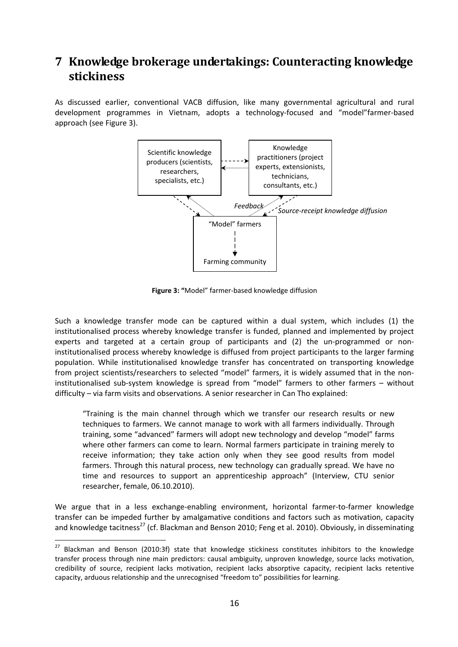# **7 Knowledge brokerage undertakings: Counteracting knowledge stickiness**

As discussed earlier, conventional VACB diffusion, like many governmental agricultural and rural development programmes in Vietnam, adopts a technology‐focused and "model"farmer‐based approach (see Figure 3).



**Figure 3: "**Model" farmer‐based knowledge diffusion

Such a knowledge transfer mode can be captured within a dual system, which includes (1) the institutionalised process whereby knowledge transfer is funded, planned and implemented by project experts and targeted at a certain group of participants and (2) the un-programmed or noninstitutionalised process whereby knowledge is diffused from project participants to the larger farming population. While institutionalised knowledge transfer has concentrated on transporting knowledge from project scientists/researchers to selected "model" farmers, it is widely assumed that in the noninstitutionalised sub-system knowledge is spread from "model" farmers to other farmers – without difficulty – via farm visits and observations. A senior researcher in Can Tho explained:

"Training is the main channel through which we transfer our research results or new techniques to farmers. We cannot manage to work with all farmers individually. Through training, some "advanced" farmers will adopt new technology and develop "model" farms where other farmers can come to learn. Normal farmers participate in training merely to receive information; they take action only when they see good results from model farmers. Through this natural process, new technology can gradually spread. We have no time and resources to support an apprenticeship approach" (Interview, CTU senior researcher, female, 06.10.2010).

We argue that in a less exchange-enabling environment, horizontal farmer-to-farmer knowledge transfer can be impeded further by amalgamative conditions and factors such as motivation, capacity and knowledge tacitness<sup>27</sup> (cf. Blackman and Benson 2010; Feng et al. 2010). Obviously, in disseminating

<sup>27</sup> Blackman and Benson (2010:3f) state that knowledge stickiness constitutes inhibitors to the knowledge transfer process through nine main predictors: causal ambiguity, unproven knowledge, source lacks motivation, credibility of source, recipient lacks motivation, recipient lacks absorptive capacity, recipient lacks retentive capacity, arduous relationship and the unrecognised "freedom to" possibilities for learning.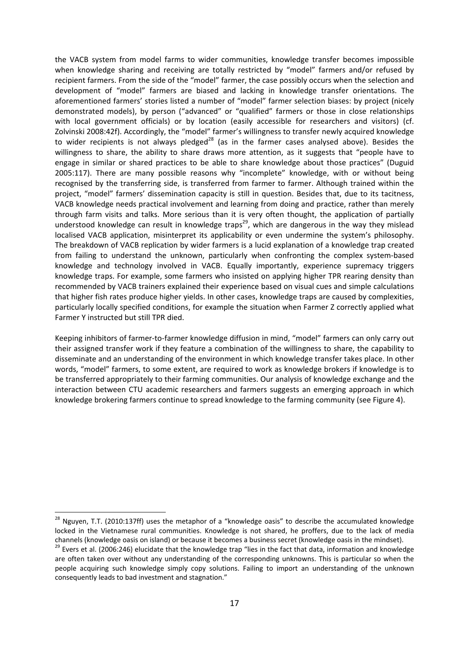the VACB system from model farms to wider communities, knowledge transfer becomes impossible when knowledge sharing and receiving are totally restricted by "model" farmers and/or refused by recipient farmers. From the side of the "model" farmer, the case possibly occurs when the selection and development of "model" farmers are biased and lacking in knowledge transfer orientations. The aforementioned farmers' stories listed a number of "model" farmer selection biases: by project (nicely demonstrated models), by person ("advanced" or "qualified" farmers or those in close relationships with local government officials) or by location (easily accessible for researchers and visitors) (cf. Zolvinski 2008:42f). Accordingly, the "model" farmer's willingness to transfer newly acquired knowledge to wider recipients is not always pledged<sup>28</sup> (as in the farmer cases analysed above). Besides the willingness to share, the ability to share draws more attention, as it suggests that "people have to engage in similar or shared practices to be able to share knowledge about those practices" (Duguid 2005:117). There are many possible reasons why "incomplete" knowledge, with or without being recognised by the transferring side, is transferred from farmer to farmer. Although trained within the project, "model" farmers' dissemination capacity is still in question. Besides that, due to its tacitness, VACB knowledge needs practical involvement and learning from doing and practice, rather than merely through farm visits and talks. More serious than it is very often thought, the application of partially understood knowledge can result in knowledge traps<sup>29</sup>, which are dangerous in the way they mislead localised VACB application, misinterpret its applicability or even undermine the system's philosophy. The breakdown of VACB replication by wider farmers is a lucid explanation of a knowledge trap created from failing to understand the unknown, particularly when confronting the complex system-based knowledge and technology involved in VACB. Equally importantly, experience supremacy triggers knowledge traps. For example, some farmers who insisted on applying higher TPR rearing density than recommended by VACB trainers explained their experience based on visual cues and simple calculations that higher fish rates produce higher yields. In other cases, knowledge traps are caused by complexities, particularly locally specified conditions, for example the situation when Farmer Z correctly applied what Farmer Y instructed but still TPR died.

Keeping inhibitors of farmer‐to‐farmer knowledge diffusion in mind, "model" farmers can only carry out their assigned transfer work if they feature a combination of the willingness to share, the capability to disseminate and an understanding of the environment in which knowledge transfer takes place. In other words, "model" farmers, to some extent, are required to work as knowledge brokers if knowledge is to be transferred appropriately to their farming communities. Our analysis of knowledge exchange and the interaction between CTU academic researchers and farmers suggests an emerging approach in which knowledge brokering farmers continue to spread knowledge to the farming community (see Figure 4).

<sup>&</sup>lt;sup>28</sup> Nguyen, T.T. (2010:137ff) uses the metaphor of a "knowledge oasis" to describe the accumulated knowledge locked in the Vietnamese rural communities. Knowledge is not shared, he proffers, due to the lack of media channels (knowledge oasis on island) or because it becomes a business secret (knowledge oasis in the mindset).

<sup>&</sup>lt;sup>29</sup> Evers et al. (2006:246) elucidate that the knowledge trap "lies in the fact that data, information and knowledge are often taken over without any understanding of the corresponding unknowns. This is particular so when the people acquiring such knowledge simply copy solutions. Failing to import an understanding of the unknown consequently leads to bad investment and stagnation."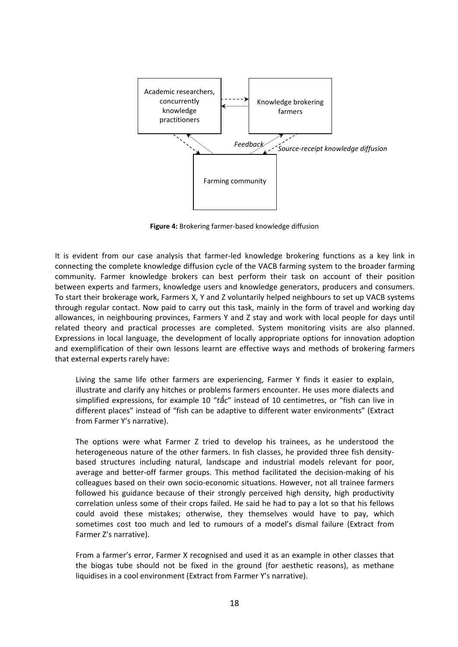

**Figure 4:** Brokering farmer‐based knowledge diffusion

It is evident from our case analysis that farmer‐led knowledge brokering functions as a key link in connecting the complete knowledge diffusion cycle of the VACB farming system to the broader farming community. Farmer knowledge brokers can best perform their task on account of their position between experts and farmers, knowledge users and knowledge generators, producers and consumers. To start their brokerage work, Farmers X, Y and Z voluntarily helped neighbours to set up VACB systems through regular contact. Now paid to carry out this task, mainly in the form of travel and working day allowances, in neighbouring provinces, Farmers Y and Z stay and work with local people for days until related theory and practical processes are completed. System monitoring visits are also planned. Expressions in local language, the development of locally appropriate options for innovation adoption and exemplification of their own lessons learnt are effective ways and methods of brokering farmers that external experts rarely have:

Living the same life other farmers are experiencing, Farmer Y finds it easier to explain, illustrate and clarify any hitches or problems farmers encounter. He uses more dialects and simplified expressions, for example 10 "*tấc*" instead of 10 centimetres, or "fish can live in different places" instead of "fish can be adaptive to different water environments" (Extract from Farmer Y's narrative).

The options were what Farmer Z tried to develop his trainees, as he understood the heterogeneous nature of the other farmers. In fish classes, he provided three fish density‐ based structures including natural, landscape and industrial models relevant for poor, average and better‐off farmer groups. This method facilitated the decision‐making of his colleagues based on their own socio‐economic situations. However, not all trainee farmers followed his guidance because of their strongly perceived high density, high productivity correlation unless some of their crops failed. He said he had to pay a lot so that his fellows could avoid these mistakes; otherwise, they themselves would have to pay, which sometimes cost too much and led to rumours of a model's dismal failure (Extract from Farmer Z's narrative).

From a farmer's error, Farmer X recognised and used it as an example in other classes that the biogas tube should not be fixed in the ground (for aesthetic reasons), as methane liquidises in a cool environment (Extract from Farmer Y's narrative).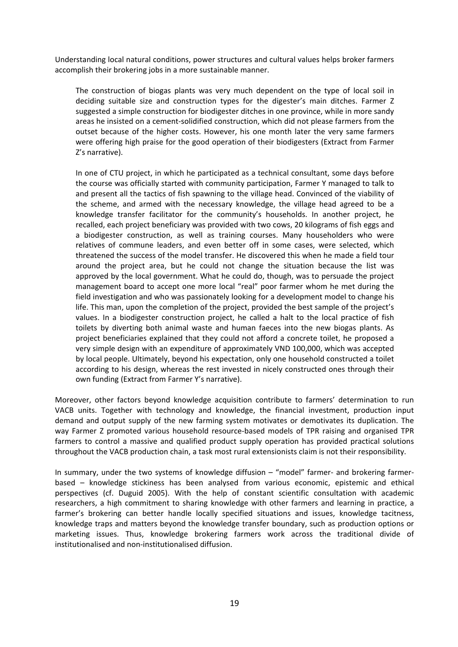Understanding local natural conditions, power structures and cultural values helps broker farmers accomplish their brokering jobs in a more sustainable manner.

The construction of biogas plants was very much dependent on the type of local soil in deciding suitable size and construction types for the digester's main ditches. Farmer Z suggested a simple construction for biodigester ditches in one province, while in more sandy areas he insisted on a cement‐solidified construction, which did not please farmers from the outset because of the higher costs. However, his one month later the very same farmers were offering high praise for the good operation of their biodigesters (Extract from Farmer Z's narrative).

In one of CTU project, in which he participated as a technical consultant, some days before the course was officially started with community participation, Farmer Y managed to talk to and present all the tactics of fish spawning to the village head. Convinced of the viability of the scheme, and armed with the necessary knowledge, the village head agreed to be a knowledge transfer facilitator for the community's households. In another project, he recalled, each project beneficiary was provided with two cows, 20 kilograms of fish eggs and a biodigester construction, as well as training courses. Many householders who were relatives of commune leaders, and even better off in some cases, were selected, which threatened the success of the model transfer. He discovered this when he made a field tour around the project area, but he could not change the situation because the list was approved by the local government. What he could do, though, was to persuade the project management board to accept one more local "real" poor farmer whom he met during the field investigation and who was passionately looking for a development model to change his life. This man, upon the completion of the project, provided the best sample of the project's values. In a biodigester construction project, he called a halt to the local practice of fish toilets by diverting both animal waste and human faeces into the new biogas plants. As project beneficiaries explained that they could not afford a concrete toilet, he proposed a very simple design with an expenditure of approximately VND 100,000, which was accepted by local people. Ultimately, beyond his expectation, only one household constructed a toilet according to his design, whereas the rest invested in nicely constructed ones through their own funding (Extract from Farmer Y's narrative).

Moreover, other factors beyond knowledge acquisition contribute to farmers' determination to run VACB units. Together with technology and knowledge, the financial investment, production input demand and output supply of the new farming system motivates or demotivates its duplication. The way Farmer Z promoted various household resource-based models of TPR raising and organised TPR farmers to control a massive and qualified product supply operation has provided practical solutions throughout the VACB production chain, a task most rural extensionists claim is not their responsibility.

In summary, under the two systems of knowledge diffusion – "model" farmer- and brokering farmerbased – knowledge stickiness has been analysed from various economic, epistemic and ethical perspectives (cf. Duguid 2005). With the help of constant scientific consultation with academic researchers, a high commitment to sharing knowledge with other farmers and learning in practice, a farmer's brokering can better handle locally specified situations and issues, knowledge tacitness, knowledge traps and matters beyond the knowledge transfer boundary, such as production options or marketing issues. Thus, knowledge brokering farmers work across the traditional divide of institutionalised and non‐institutionalised diffusion.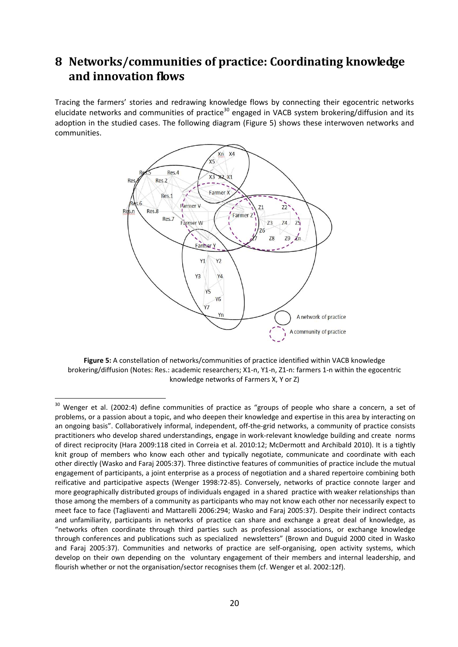# **8 Networks/communities of practice: Coordinating knowledge and innovation flows**

Tracing the farmers' stories and redrawing knowledge flows by connecting their egocentric networks elucidate networks and communities of practice<sup>30</sup> engaged in VACB system brokering/diffusion and its adoption in the studied cases. The following diagram (Figure 5) shows these interwoven networks and communities.



**Figure 5:** A constellation of networks/communities of practice identified within VACB knowledge brokering/diffusion (Notes: Res.: academic researchers; X1‐n, Y1‐n, Z1‐n: farmers 1‐n within the egocentric knowledge networks of Farmers X, Y or Z)

<sup>&</sup>lt;sup>30</sup> Wenger et al. (2002:4) define communities of practice as "groups of people who share a concern, a set of problems, or a passion about a topic, and who deepen their knowledge and expertise in this area by interacting on an ongoing basis". Collaboratively informal, independent, off-the-grid networks, a community of practice consists practitioners who develop shared understandings, engage in work‐relevant knowledge building and create norms of direct reciprocity (Hara 2009:118 cited in Correia et al. 2010:12; McDermott and Archibald 2010). It is a tightly knit group of members who know each other and typically negotiate, communicate and coordinate with each other directly (Wasko and Faraj 2005:37). Three distinctive features of communities of practice include the mutual engagement of participants, a joint enterprise as a process of negotiation and a shared repertoire combining both reificative and participative aspects (Wenger 1998:72‐85). Conversely, networks of practice connote larger and more geographically distributed groups of individuals engaged in a shared practice with weaker relationships than those among the members of a community as participants who may not know each other nor necessarily expect to meet face to face (Tagliaventi and Mattarelli 2006:294; Wasko and Faraj 2005:37). Despite their indirect contacts and unfamiliarity, participants in networks of practice can share and exchange a great deal of knowledge, as "networks often coordinate through third parties such as professional associations, or exchange knowledge through conferences and publications such as specialized newsletters" (Brown and Duguid 2000 cited in Wasko and Faraj 2005:37). Communities and networks of practice are self-organising, open activity systems, which develop on their own depending on the voluntary engagement of their members and internal leadership, and flourish whether or not the organisation/sector recognises them (cf. Wenger et al. 2002:12f).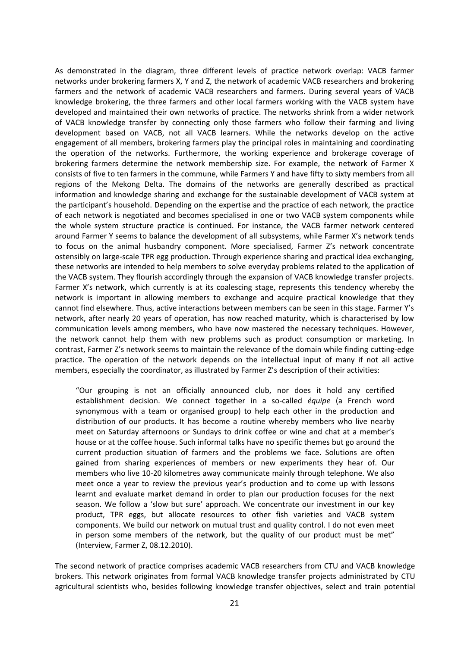As demonstrated in the diagram, three different levels of practice network overlap: VACB farmer networks under brokering farmers X, Y and Z, the network of academic VACB researchers and brokering farmers and the network of academic VACB researchers and farmers. During several years of VACB knowledge brokering, the three farmers and other local farmers working with the VACB system have developed and maintained their own networks of practice. The networks shrink from a wider network of VACB knowledge transfer by connecting only those farmers who follow their farming and living development based on VACB, not all VACB learners. While the networks develop on the active engagement of all members, brokering farmers play the principal roles in maintaining and coordinating the operation of the networks. Furthermore, the working experience and brokerage coverage of brokering farmers determine the network membership size. For example, the network of Farmer X consists of five to ten farmers in the commune, while Farmers Y and have fifty to sixty members from all regions of the Mekong Delta. The domains of the networks are generally described as practical information and knowledge sharing and exchange for the sustainable development of VACB system at the participant's household. Depending on the expertise and the practice of each network, the practice of each network is negotiated and becomes specialised in one or two VACB system components while the whole system structure practice is continued. For instance, the VACB farmer network centered around Farmer Y seems to balance the development of all subsystems, while Farmer X's network tends to focus on the animal husbandry component. More specialised, Farmer Z's network concentrate ostensibly on large‐scale TPR egg production. Through experience sharing and practical idea exchanging, these networks are intended to help members to solve everyday problems related to the application of the VACB system. They flourish accordingly through the expansion of VACB knowledge transfer projects. Farmer X's network, which currently is at its coalescing stage, represents this tendency whereby the network is important in allowing members to exchange and acquire practical knowledge that they cannot find elsewhere. Thus, active interactions between members can be seen in this stage. Farmer Y's network, after nearly 20 years of operation, has now reached maturity, which is characterised by low communication levels among members, who have now mastered the necessary techniques. However, the network cannot help them with new problems such as product consumption or marketing. In contrast, Farmer Z's network seems to maintain the relevance of the domain while finding cutting‐edge practice. The operation of the network depends on the intellectual input of many if not all active members, especially the coordinator, as illustrated by Farmer Z's description of their activities:

"Our grouping is not an officially announced club, nor does it hold any certified establishment decision. We connect together in a so-called *équipe* (a French word synonymous with a team or organised group) to help each other in the production and distribution of our products. It has become a routine whereby members who live nearby meet on Saturday afternoons or Sundays to drink coffee or wine and chat at a member's house or at the coffee house. Such informal talks have no specific themes but go around the current production situation of farmers and the problems we face. Solutions are often gained from sharing experiences of members or new experiments they hear of. Our members who live 10‐20 kilometres away communicate mainly through telephone. We also meet once a year to review the previous year's production and to come up with lessons learnt and evaluate market demand in order to plan our production focuses for the next season. We follow a 'slow but sure' approach. We concentrate our investment in our key product, TPR eggs, but allocate resources to other fish varieties and VACB system components. We build our network on mutual trust and quality control. I do not even meet in person some members of the network, but the quality of our product must be met" (Interview, Farmer Z, 08.12.2010).

The second network of practice comprises academic VACB researchers from CTU and VACB knowledge brokers. This network originates from formal VACB knowledge transfer projects administrated by CTU agricultural scientists who, besides following knowledge transfer objectives, select and train potential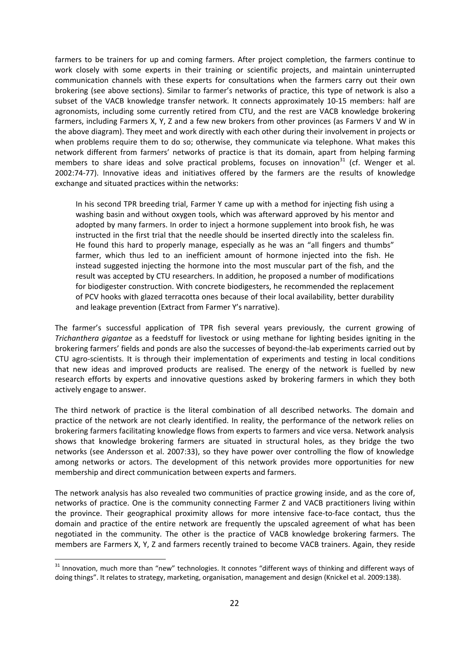farmers to be trainers for up and coming farmers. After project completion, the farmers continue to work closely with some experts in their training or scientific projects, and maintain uninterrupted communication channels with these experts for consultations when the farmers carry out their own brokering (see above sections). Similar to farmer's networks of practice, this type of network is also a subset of the VACB knowledge transfer network. It connects approximately 10‐15 members: half are agronomists, including some currently retired from CTU, and the rest are VACB knowledge brokering farmers, including Farmers X, Y, Z and a few new brokers from other provinces (as Farmers V and W in the above diagram). They meet and work directly with each other during their involvement in projects or when problems require them to do so; otherwise, they communicate via telephone. What makes this network different from farmers' networks of practice is that its domain, apart from helping farming members to share ideas and solve practical problems, focuses on innovation<sup>31</sup> (cf. Wenger et al. 2002:74‐77). Innovative ideas and initiatives offered by the farmers are the results of knowledge exchange and situated practices within the networks:

In his second TPR breeding trial, Farmer Y came up with a method for injecting fish using a washing basin and without oxygen tools, which was afterward approved by his mentor and adopted by many farmers. In order to inject a hormone supplement into brook fish, he was instructed in the first trial that the needle should be inserted directly into the scaleless fin. He found this hard to properly manage, especially as he was an "all fingers and thumbs" farmer, which thus led to an inefficient amount of hormone injected into the fish. He instead suggested injecting the hormone into the most muscular part of the fish, and the result was accepted by CTU researchers. In addition, he proposed a number of modifications for biodigester construction. With concrete biodigesters, he recommended the replacement of PCV hooks with glazed terracotta ones because of their local availability, better durability and leakage prevention (Extract from Farmer Y's narrative).

The farmer's successful application of TPR fish several years previously, the current growing of *Trichanthera gigantae* as a feedstuff for livestock or using methane for lighting besides igniting in the brokering farmers' fields and ponds are also the successes of beyond‐the‐lab experiments carried out by CTU agro‐scientists. It is through their implementation of experiments and testing in local conditions that new ideas and improved products are realised. The energy of the network is fuelled by new research efforts by experts and innovative questions asked by brokering farmers in which they both actively engage to answer.

The third network of practice is the literal combination of all described networks. The domain and practice of the network are not clearly identified. In reality, the performance of the network relies on brokering farmers facilitating knowledge flows from experts to farmers and vice versa. Network analysis shows that knowledge brokering farmers are situated in structural holes, as they bridge the two networks (see Andersson et al. 2007:33), so they have power over controlling the flow of knowledge among networks or actors. The development of this network provides more opportunities for new membership and direct communication between experts and farmers.

The network analysis has also revealed two communities of practice growing inside, and as the core of, networks of practice. One is the community connecting Farmer Z and VACB practitioners living within the province. Their geographical proximity allows for more intensive face‐to‐face contact, thus the domain and practice of the entire network are frequently the upscaled agreement of what has been negotiated in the community. The other is the practice of VACB knowledge brokering farmers. The members are Farmers X, Y, Z and farmers recently trained to become VACB trainers. Again, they reside

<sup>&</sup>lt;sup>31</sup> Innovation, much more than "new" technologies. It connotes "different ways of thinking and different ways of doing things". It relates to strategy, marketing, organisation, management and design (Knickel et al. 2009:138).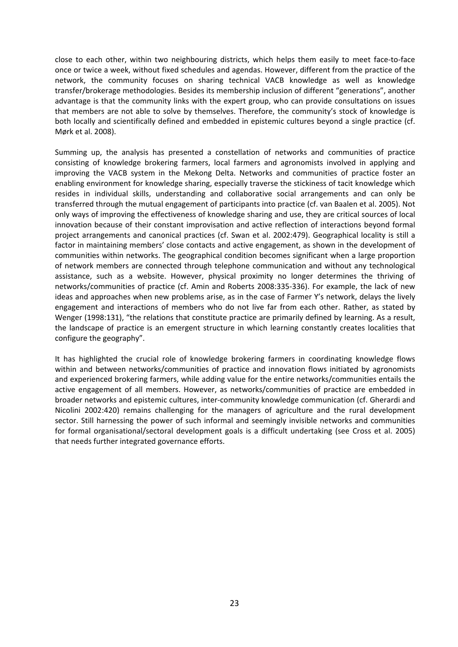close to each other, within two neighbouring districts, which helps them easily to meet face‐to‐face once or twice a week, without fixed schedules and agendas. However, different from the practice of the network, the community focuses on sharing technical VACB knowledge as well as knowledge transfer/brokerage methodologies. Besides its membership inclusion of different "generations", another advantage is that the community links with the expert group, who can provide consultations on issues that members are not able to solve by themselves. Therefore, the community's stock of knowledge is both locally and scientifically defined and embedded in epistemic cultures beyond a single practice (cf. Mørk et al. 2008).

Summing up, the analysis has presented a constellation of networks and communities of practice consisting of knowledge brokering farmers, local farmers and agronomists involved in applying and improving the VACB system in the Mekong Delta. Networks and communities of practice foster an enabling environment for knowledge sharing, especially traverse the stickiness of tacit knowledge which resides in individual skills, understanding and collaborative social arrangements and can only be transferred through the mutual engagement of participants into practice (cf. van Baalen et al. 2005). Not only ways of improving the effectiveness of knowledge sharing and use, they are critical sources of local innovation because of their constant improvisation and active reflection of interactions beyond formal project arrangements and canonical practices (cf. Swan et al. 2002:479). Geographical locality is still a factor in maintaining members' close contacts and active engagement, as shown in the development of communities within networks. The geographical condition becomes significant when a large proportion of network members are connected through telephone communication and without any technological assistance, such as a website. However, physical proximity no longer determines the thriving of networks/communities of practice (cf. Amin and Roberts 2008:335‐336). For example, the lack of new ideas and approaches when new problems arise, as in the case of Farmer Y's network, delays the lively engagement and interactions of members who do not live far from each other. Rather, as stated by Wenger (1998:131), "the relations that constitute practice are primarily defined by learning. As a result, the landscape of practice is an emergent structure in which learning constantly creates localities that configure the geography".

It has highlighted the crucial role of knowledge brokering farmers in coordinating knowledge flows within and between networks/communities of practice and innovation flows initiated by agronomists and experienced brokering farmers, while adding value for the entire networks/communities entails the active engagement of all members. However, as networks/communities of practice are embedded in broader networks and epistemic cultures, inter‐community knowledge communication (cf. Gherardi and Nicolini 2002:420) remains challenging for the managers of agriculture and the rural development sector. Still harnessing the power of such informal and seemingly invisible networks and communities for formal organisational/sectoral development goals is a difficult undertaking (see Cross et al. 2005) that needs further integrated governance efforts.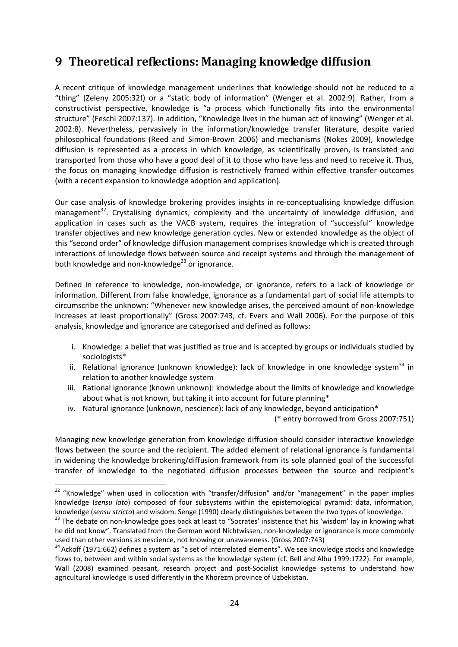# **9 Theoretical reflections: Managing knowledge diffusion**

A recent critique of knowledge management underlines that knowledge should not be reduced to a "thing" (Zeleny 2005:32f) or a "static body of information" (Wenger et al. 2002:9). Rather, from a constructivist perspective, knowledge is "a process which functionally fits into the environmental structure" (Feschl 2007:137). In addition, "Knowledge lives in the human act of knowing" (Wenger et al. 2002:8). Nevertheless, pervasively in the information/knowledge transfer literature, despite varied philosophical foundations (Reed and Simon‐Brown 2006) and mechanisms (Nokes 2009), knowledge diffusion is represented as a process in which knowledge, as scientifically proven, is translated and transported from those who have a good deal of it to those who have less and need to receive it. Thus, the focus on managing knowledge diffusion is restrictively framed within effective transfer outcomes (with a recent expansion to knowledge adoption and application).

Our case analysis of knowledge brokering provides insights in re‐conceptualising knowledge diffusion management<sup>32</sup>. Crystalising dynamics, complexity and the uncertainty of knowledge diffusion, and application in cases such as the VACB system, requires the integration of "successful" knowledge transfer objectives and new knowledge generation cycles. New or extended knowledge as the object of this "second order" of knowledge diffusion management comprises knowledge which is created through interactions of knowledge flows between source and receipt systems and through the management of both knowledge and non-knowledge $^{33}$  or ignorance.

Defined in reference to knowledge, non-knowledge, or ignorance, refers to a lack of knowledge or information. Different from false knowledge, ignorance as a fundamental part of social life attempts to circumscribe the unknown: "Whenever new knowledge arises, the perceived amount of non‐knowledge increases at least proportionally" (Gross 2007:743, cf. Evers and Wall 2006). For the purpose of this analysis, knowledge and ignorance are categorised and defined as follows:

- i. Knowledge: a belief that was justified as true and is accepted by groups or individuals studied by sociologists\*
- ii. Relational ignorance (unknown knowledge): lack of knowledge in one knowledge system<sup>34</sup> in relation to another knowledge system
- iii. Rational ignorance (known unknown): knowledge about the limits of knowledge and knowledge about what is not known, but taking it into account for future planning\*
- iv. Natural ignorance (unknown, nescience): lack of any knowledge, beyond anticipation\*

(\* entry borrowed from Gross 2007:751)

Managing new knowledge generation from knowledge diffusion should consider interactive knowledge flows between the source and the recipient. The added element of relational ignorance is fundamental in widening the knowledge brokering/diffusion framework from its sole planned goal of the successful transfer of knowledge to the negotiated diffusion processes between the source and recipient's

<sup>&</sup>lt;sup>32</sup> "Knowledge" when used in collocation with "transfer/diffusion" and/or "management" in the paper implies knowledge (*sensu lato*) composed of four subsystems within the epistemological pyramid: data, information, knowledge (*sensu stricto*) and wisdom. Senge (1990) clearly distinguishes between the two types of knowledge.

<sup>&</sup>lt;sup>33</sup> The debate on non-knowledge goes back at least to "Socrates' insistence that his 'wisdom' lay in knowing what he did not know". Translated from the German word Nichtwissen, non-knowledge or ignorance is more commonly used than other versions as nescience, not knowing or unawareness. (Gross 2007:743)

<sup>&</sup>lt;sup>34</sup> Ackoff (1971:662) defines a system as "a set of interrelated elements". We see knowledge stocks and knowledge flows to, between and within social systems as the knowledge system (cf. Bell and Albu 1999:1722). For example, Wall (2008) examined peasant, research project and post-Socialist knowledge systems to understand how agricultural knowledge is used differently in the Khorezm province of Uzbekistan.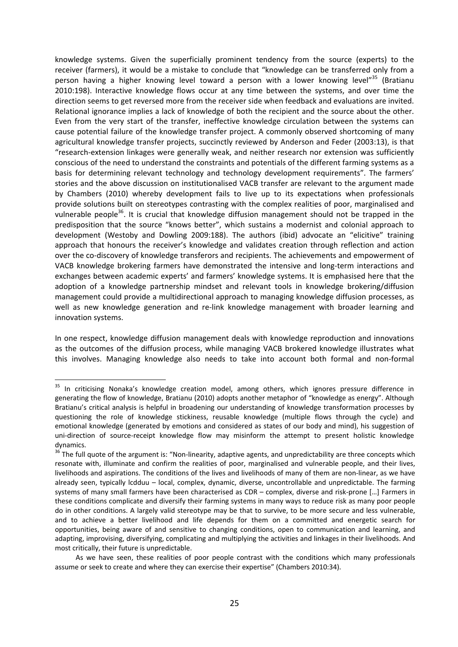knowledge systems. Given the superficially prominent tendency from the source (experts) to the receiver (farmers), it would be a mistake to conclude that "knowledge can be transferred only from a person having a higher knowing level toward a person with a lower knowing level<sup>"35</sup> (Bratianu 2010:198). Interactive knowledge flows occur at any time between the systems, and over time the direction seems to get reversed more from the receiver side when feedback and evaluations are invited. Relational ignorance implies a lack of knowledge of both the recipient and the source about the other. Even from the very start of the transfer, ineffective knowledge circulation between the systems can cause potential failure of the knowledge transfer project. A commonly observed shortcoming of many agricultural knowledge transfer projects, succinctly reviewed by Anderson and Feder (2003:13), is that "research‐extension linkages were generally weak, and neither research nor extension was sufficiently conscious of the need to understand the constraints and potentials of the different farming systems as a basis for determining relevant technology and technology development requirements". The farmers' stories and the above discussion on institutionalised VACB transfer are relevant to the argument made by Chambers (2010) whereby development fails to live up to its expectations when professionals provide solutions built on stereotypes contrasting with the complex realities of poor, marginalised and vulnerable people<sup>36</sup>. It is crucial that knowledge diffusion management should not be trapped in the predisposition that the source "knows better", which sustains a modernist and colonial approach to development (Westoby and Dowling 2009:188). The authors (ibid) advocate an "elicitive" training approach that honours the receiver's knowledge and validates creation through reflection and action over the co-discovery of knowledge transferors and recipients. The achievements and empowerment of VACB knowledge brokering farmers have demonstrated the intensive and long‐term interactions and exchanges between academic experts' and farmers' knowledge systems. It is emphasised here that the adoption of a knowledge partnership mindset and relevant tools in knowledge brokering/diffusion management could provide a multidirectional approach to managing knowledge diffusion processes, as well as new knowledge generation and re-link knowledge management with broader learning and innovation systems.

In one respect, knowledge diffusion management deals with knowledge reproduction and innovations as the outcomes of the diffusion process, while managing VACB brokered knowledge illustrates what this involves. Managing knowledge also needs to take into account both formal and non‐formal

<sup>&</sup>lt;sup>35</sup> In criticising Nonaka's knowledge creation model, among others, which ignores pressure difference in generating the flow of knowledge, Bratianu (2010) adopts another metaphor of "knowledge as energy". Although Bratianu's critical analysis is helpful in broadening our understanding of knowledge transformation processes by questioning the role of knowledge stickiness, reusable knowledge (multiple flows through the cycle) and emotional knowledge (generated by emotions and considered as states of our body and mind), his suggestion of uni‐direction of source‐receipt knowledge flow may misinform the attempt to present holistic knowledge dynamics.

 $36$  The full quote of the argument is: "Non-linearity, adaptive agents, and unpredictability are three concepts which resonate with, illuminate and confirm the realities of poor, marginalised and vulnerable people, and their lives, livelihoods and aspirations. The conditions of the lives and livelihoods of many of them are non‐linear, as we have already seen, typically lcdduu – local, complex, dynamic, diverse, uncontrollable and unpredictable. The farming systems of many small farmers have been characterised as CDR – complex, diverse and risk‐prone […] Farmers in these conditions complicate and diversify their farming systems in many ways to reduce risk as many poor people do in other conditions. A largely valid stereotype may be that to survive, to be more secure and less vulnerable, and to achieve a better livelihood and life depends for them on a committed and energetic search for opportunities, being aware of and sensitive to changing conditions, open to communication and learning, and adapting, improvising, diversifying, complicating and multiplying the activities and linkages in their livelihoods. And most critically, their future is unpredictable.

As we have seen, these realities of poor people contrast with the conditions which many professionals assume or seek to create and where they can exercise their expertise" (Chambers 2010:34).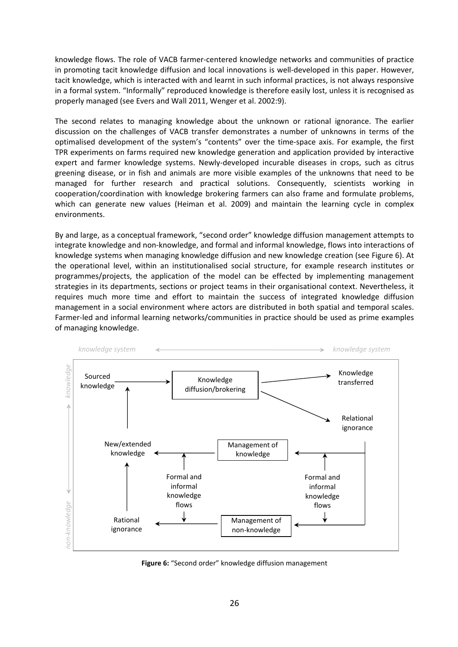knowledge flows. The role of VACB farmer‐centered knowledge networks and communities of practice in promoting tacit knowledge diffusion and local innovations is well‐developed in this paper. However, tacit knowledge, which is interacted with and learnt in such informal practices, is not always responsive in a formal system. "Informally" reproduced knowledge is therefore easily lost, unless it is recognised as properly managed (see Evers and Wall 2011, Wenger et al. 2002:9).

The second relates to managing knowledge about the unknown or rational ignorance. The earlier discussion on the challenges of VACB transfer demonstrates a number of unknowns in terms of the optimalised development of the system's "contents" over the time‐space axis. For example, the first TPR experiments on farms required new knowledge generation and application provided by interactive expert and farmer knowledge systems. Newly‐developed incurable diseases in crops, such as citrus greening disease, or in fish and animals are more visible examples of the unknowns that need to be managed for further research and practical solutions. Consequently, scientists working in cooperation/coordination with knowledge brokering farmers can also frame and formulate problems, which can generate new values (Heiman et al. 2009) and maintain the learning cycle in complex environments.

By and large, as a conceptual framework, "second order" knowledge diffusion management attempts to integrate knowledge and non‐knowledge, and formal and informal knowledge, flows into interactions of knowledge systems when managing knowledge diffusion and new knowledge creation (see Figure 6). At the operational level, within an institutionalised social structure, for example research institutes or programmes/projects, the application of the model can be effected by implementing management strategies in its departments, sections or project teams in their organisational context. Nevertheless, it requires much more time and effort to maintain the success of integrated knowledge diffusion management in a social environment where actors are distributed in both spatial and temporal scales. Farmer‐led and informal learning networks/communities in practice should be used as prime examples of managing knowledge.



**Figure 6:** "Second order" knowledge diffusion management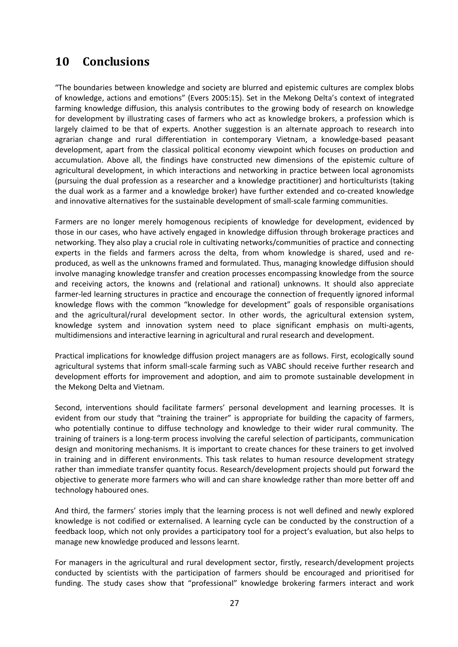# **10 Conclusions**

"The boundaries between knowledge and society are blurred and epistemic cultures are complex blobs of knowledge, actions and emotions" (Evers 2005:15). Set in the Mekong Delta's context of integrated farming knowledge diffusion, this analysis contributes to the growing body of research on knowledge for development by illustrating cases of farmers who act as knowledge brokers, a profession which is largely claimed to be that of experts. Another suggestion is an alternate approach to research into agrarian change and rural differentiation in contemporary Vietnam, a knowledge‐based peasant development, apart from the classical political economy viewpoint which focuses on production and accumulation. Above all, the findings have constructed new dimensions of the epistemic culture of agricultural development, in which interactions and networking in practice between local agronomists (pursuing the dual profession as a researcher and a knowledge practitioner) and horticulturists (taking the dual work as a farmer and a knowledge broker) have further extended and co-created knowledge and innovative alternatives for the sustainable development of small‐scale farming communities.

Farmers are no longer merely homogenous recipients of knowledge for development, evidenced by those in our cases, who have actively engaged in knowledge diffusion through brokerage practices and networking. They also play a crucial role in cultivating networks/communities of practice and connecting experts in the fields and farmers across the delta, from whom knowledge is shared, used and reproduced, as well as the unknowns framed and formulated. Thus, managing knowledge diffusion should involve managing knowledge transfer and creation processes encompassing knowledge from the source and receiving actors, the knowns and (relational and rational) unknowns. It should also appreciate farmer-led learning structures in practice and encourage the connection of frequently ignored informal knowledge flows with the common "knowledge for development" goals of responsible organisations and the agricultural/rural development sector. In other words, the agricultural extension system, knowledge system and innovation system need to place significant emphasis on multi-agents, multidimensions and interactive learning in agricultural and rural research and development.

Practical implications for knowledge diffusion project managers are as follows. First, ecologically sound agricultural systems that inform small‐scale farming such as VABC should receive further research and development efforts for improvement and adoption, and aim to promote sustainable development in the Mekong Delta and Vietnam.

Second, interventions should facilitate farmers' personal development and learning processes. It is evident from our study that "training the trainer" is appropriate for building the capacity of farmers, who potentially continue to diffuse technology and knowledge to their wider rural community. The training of trainers is a long‐term process involving the careful selection of participants, communication design and monitoring mechanisms. It is important to create chances for these trainers to get involved in training and in different environments. This task relates to human resource development strategy rather than immediate transfer quantity focus. Research/development projects should put forward the objective to generate more farmers who will and can share knowledge rather than more better off and technology haboured ones.

And third, the farmers' stories imply that the learning process is not well defined and newly explored knowledge is not codified or externalised. A learning cycle can be conducted by the construction of a feedback loop, which not only provides a participatory tool for a project's evaluation, but also helps to manage new knowledge produced and lessons learnt.

For managers in the agricultural and rural development sector, firstly, research/development projects conducted by scientists with the participation of farmers should be encouraged and prioritised for funding. The study cases show that "professional" knowledge brokering farmers interact and work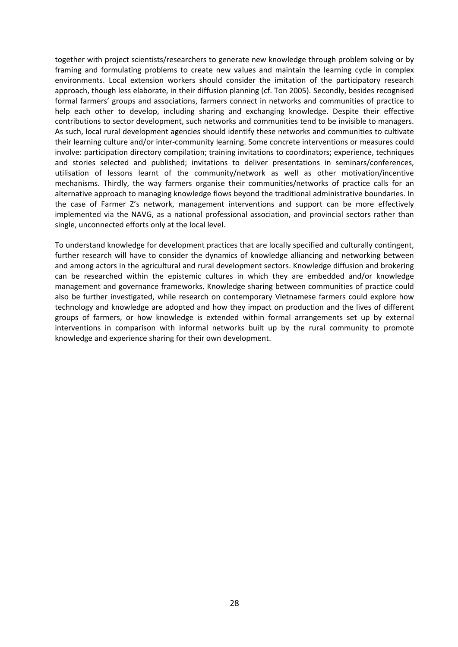together with project scientists/researchers to generate new knowledge through problem solving or by framing and formulating problems to create new values and maintain the learning cycle in complex environments. Local extension workers should consider the imitation of the participatory research approach, though less elaborate, in their diffusion planning (cf. Ton 2005). Secondly, besides recognised formal farmers' groups and associations, farmers connect in networks and communities of practice to help each other to develop, including sharing and exchanging knowledge. Despite their effective contributions to sector development, such networks and communities tend to be invisible to managers. As such, local rural development agencies should identify these networks and communities to cultivate their learning culture and/or inter‐community learning. Some concrete interventions or measures could involve: participation directory compilation; training invitations to coordinators; experience, techniques and stories selected and published; invitations to deliver presentations in seminars/conferences, utilisation of lessons learnt of the community/network as well as other motivation/incentive mechanisms. Thirdly, the way farmers organise their communities/networks of practice calls for an alternative approach to managing knowledge flows beyond the traditional administrative boundaries. In the case of Farmer Z's network, management interventions and support can be more effectively implemented via the NAVG, as a national professional association, and provincial sectors rather than single, unconnected efforts only at the local level.

To understand knowledge for development practices that are locally specified and culturally contingent, further research will have to consider the dynamics of knowledge alliancing and networking between and among actors in the agricultural and rural development sectors. Knowledge diffusion and brokering can be researched within the epistemic cultures in which they are embedded and/or knowledge management and governance frameworks. Knowledge sharing between communities of practice could also be further investigated, while research on contemporary Vietnamese farmers could explore how technology and knowledge are adopted and how they impact on production and the lives of different groups of farmers, or how knowledge is extended within formal arrangements set up by external interventions in comparison with informal networks built up by the rural community to promote knowledge and experience sharing for their own development.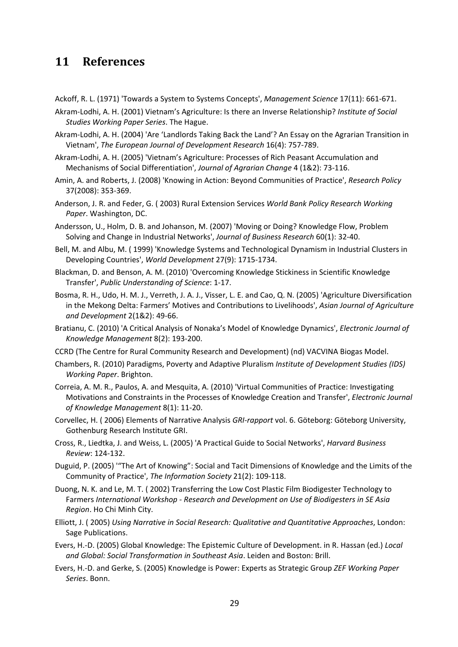## **11 References**

Ackoff, R. L. (1971) 'Towards a System to Systems Concepts', *Management Science* 17(11): 661‐671.

Akram‐Lodhi, A. H. (2001) Vietnam's Agriculture: Is there an Inverse Relationship? *Institute of Social Studies Working Paper Series*. The Hague.

- Akram‐Lodhi, A. H. (2004) 'Are 'Landlords Taking Back the Land'? An Essay on the Agrarian Transition in Vietnam', *The European Journal of Development Research* 16(4): 757‐789.
- Akram‐Lodhi, A. H. (2005) 'Vietnam's Agriculture: Processes of Rich Peasant Accumulation and Mechanisms of Social Differentiation', *Journal of Agrarian Change* 4 (1&2): 73‐116.
- Amin, A. and Roberts, J. (2008) 'Knowing in Action: Beyond Communities of Practice', *Research Policy* 37(2008): 353‐369.
- Anderson, J. R. and Feder, G. ( 2003) Rural Extension Services *World Bank Policy Research Working Paper*. Washington, DC.
- Andersson, U., Holm, D. B. and Johanson, M. (2007) 'Moving or Doing? Knowledge Flow, Problem Solving and Change in Industrial Networks', *Journal of Business Research* 60(1): 32‐40.
- Bell, M. and Albu, M. ( 1999) 'Knowledge Systems and Technological Dynamism in Industrial Clusters in Developing Countries', *World Development* 27(9): 1715‐1734.
- Blackman, D. and Benson, A. M. (2010) 'Overcoming Knowledge Stickiness in Scientific Knowledge Transfer', *Public Understanding of Science*: 1‐17.
- Bosma, R. H., Udo, H. M. J., Verreth, J. A. J., Visser, L. E. and Cao, Q. N. (2005) 'Agriculture Diversification in the Mekong Delta: Farmers' Motives and Contributions to Livelihoods', *Asian Journal of Agriculture and Development* 2(1&2): 49‐66.
- Bratianu, C. (2010) 'A Critical Analysis of Nonaka's Model of Knowledge Dynamics', *Electronic Journal of Knowledge Management* 8(2): 193‐200.
- CCRD (The Centre for Rural Community Research and Development) (nd) VACVINA Biogas Model.
- Chambers, R. (2010) Paradigms, Poverty and Adaptive Pluralism *Institute of Development Studies (IDS) Working Paper*. Brighton.
- Correia, A. M. R., Paulos, A. and Mesquita, A. (2010) 'Virtual Communities of Practice: Investigating Motivations and Constraints in the Processes of Knowledge Creation and Transfer', *Electronic Journal of Knowledge Management* 8(1): 11‐20.
- Corvellec, H. ( 2006) Elements of Narrative Analysis *GRI‐rapport* vol. 6. Göteborg: Göteborg University, Gothenburg Research Institute GRI.
- Cross, R., Liedtka, J. and Weiss, L. (2005) 'A Practical Guide to Social Networks', *Harvard Business Review*: 124‐132.
- Duguid, P. (2005) '"The Art of Knowing": Social and Tacit Dimensions of Knowledge and the Limits of the Community of Practice', *The Information Society* 21(2): 109‐118.
- Duong, N. K. and Le, M. T. ( 2002) Transferring the Low Cost Plastic Film Biodigester Technology to Farmers *International Workshop ‐ Research and Development on Use of Biodigesters in SE Asia Region*. Ho Chi Minh City.
- Elliott, J. ( 2005) *Using Narrative in Social Research: Qualitative and Quantitative Approaches*, London: Sage Publications.
- Evers, H.‐D. (2005) Global Knowledge: The Epistemic Culture of Development. in R. Hassan (ed.) *Local and Global: Social Transformation in Southeast Asia*. Leiden and Boston: Brill.
- Evers, H.‐D. and Gerke, S. (2005) Knowledge is Power: Experts as Strategic Group *ZEF Working Paper Series*. Bonn.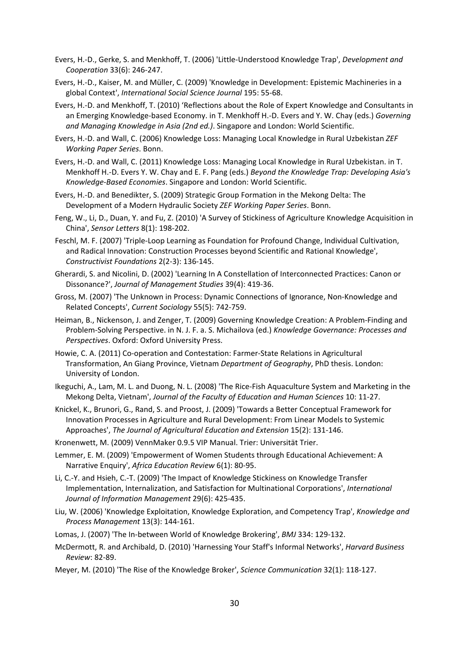- Evers, H.‐D., Gerke, S. and Menkhoff, T. (2006) 'Little‐Understood Knowledge Trap', *Development and Cooperation* 33(6): 246‐247.
- Evers, H.‐D., Kaiser, M. and Müller, C. (2009) 'Knowledge in Development: Epistemic Machineries in a global Context', *International Social Science Journal* 195: 55‐68.
- Evers, H.‐D. and Menkhoff, T. (2010) 'Reflections about the Role of Expert Knowledge and Consultants in an Emerging Knowledge‐based Economy. in T. Menkhoff H.‐D. Evers and Y. W. Chay (eds.) *Governing and Managing Knowledge in Asia (2nd ed.)*. Singapore and London: World Scientific.
- Evers, H.‐D. and Wall, C. (2006) Knowledge Loss: Managing Local Knowledge in Rural Uzbekistan *ZEF Working Paper Series*. Bonn.
- Evers, H.‐D. and Wall, C. (2011) Knowledge Loss: Managing Local Knowledge in Rural Uzbekistan. in T. Menkhoff H.‐D. Evers Y. W. Chay and E. F. Pang (eds.) *Beyond the Knowledge Trap: Developing Asia's Knowledge‐Based Economies*. Singapore and London: World Scientific.
- Evers, H.‐D. and Benedikter, S. (2009) Strategic Group Formation in the Mekong Delta: The Development of a Modern Hydraulic Society *ZEF Working Paper Series*. Bonn.
- Feng, W., Li, D., Duan, Y. and Fu, Z. (2010) 'A Survey of Stickiness of Agriculture Knowledge Acquisition in China', *Sensor Letters* 8(1): 198‐202.
- Feschl, M. F. (2007) 'Triple‐Loop Learning as Foundation for Profound Change, Individual Cultivation, and Radical Innovation: Construction Processes beyond Scientific and Rational Knowledge', *Constructivist Foundations* 2(2‐3): 136‐145.
- Gherardi, S. and Nicolini, D. (2002) 'Learning In A Constellation of Interconnected Practices: Canon or Dissonance?', *Journal of Management Studies* 39(4): 419‐36.
- Gross, M. (2007) 'The Unknown in Process: Dynamic Connections of Ignorance, Non‐Knowledge and Related Concepts', *Current Sociology* 55(5): 742‐759.
- Heiman, B., Nickenson, J. and Zenger, T. (2009) Governing Knowledge Creation: A Problem‐Finding and Problem‐Solving Perspective. in N. J. F. a. S. Michailova (ed.) *Knowledge Governance: Processes and Perspectives*. Oxford: Oxford University Press.
- Howie, C. A. (2011) Co‐operation and Contestation: Farmer‐State Relations in Agricultural Transformation, An Giang Province, Vietnam *Department of Geography*, PhD thesis. London: University of London.
- Ikeguchi, A., Lam, M. L. and Duong, N. L. (2008) 'The Rice‐Fish Aquaculture System and Marketing in the Mekong Delta, Vietnam', *Journal of the Faculty of Education and Human Sciences* 10: 11‐27.
- Knickel, K., Brunori, G., Rand, S. and Proost, J. (2009) 'Towards a Better Conceptual Framework for Innovation Processes in Agriculture and Rural Development: From Linear Models to Systemic Approaches', *The Journal of Agricultural Education and Extension* 15(2): 131‐146.
- Kronenwett, M. (2009) VennMaker 0.9.5 VIP Manual. Trier: Universität Trier.
- Lemmer, E. M. (2009) 'Empowerment of Women Students through Educational Achievement: A Narrative Enquiry', *Africa Education Review* 6(1): 80‐95.
- Li, C.‐Y. and Hsieh, C.‐T. (2009) 'The Impact of Knowledge Stickiness on Knowledge Transfer Implementation, Internalization, and Satisfaction for Multinational Corporations', *International Journal of Information Management* 29(6): 425‐435.
- Liu, W. (2006) 'Knowledge Exploitation, Knowledge Exploration, and Competency Trap', *Knowledge and Process Management* 13(3): 144‐161.
- Lomas, J. (2007) 'The In‐between World of Knowledge Brokering', *BMJ* 334: 129‐132.
- McDermott, R. and Archibald, D. (2010) 'Harnessing Your Staff's Informal Networks', *Harvard Business Review*: 82‐89.
- Meyer, M. (2010) 'The Rise of the Knowledge Broker', *Science Communication* 32(1): 118‐127.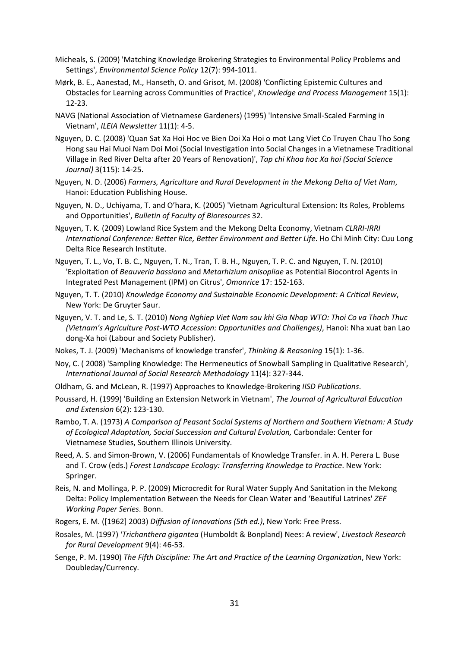- Micheals, S. (2009) 'Matching Knowledge Brokering Strategies to Environmental Policy Problems and Settings', *Environmental Science Policy* 12(7): 994‐1011.
- Mørk, B. E., Aanestad, M., Hanseth, O. and Grisot, M. (2008) 'Conflicting Epistemic Cultures and Obstacles for Learning across Communities of Practice', *Knowledge and Process Management* 15(1): 12‐23.
- NAVG (National Association of Vietnamese Gardeners) (1995) 'lntensive Small‐Scaled Farming in Vietnam', *ILEIA Newsletter* 11(1): 4‐5.
- Nguyen, D. C. (2008) 'Quan Sat Xa Hoi Hoc ve Bien Doi Xa Hoi o mot Lang Viet Co Truyen Chau Tho Song Hong sau Hai Muoi Nam Doi Moi (Social Investigation into Social Changes in a Vietnamese Traditional Village in Red River Delta after 20 Years of Renovation)', *Tap chi Khoa hoc Xa hoi (Social Science Journal)* 3(115): 14‐25.
- Nguyen, N. D. (2006) *Farmers, Agriculture and Rural Development in the Mekong Delta of Viet Nam*, Hanoi: Education Publishing House.
- Nguyen, N. D., Uchiyama, T. and O'hara, K. (2005) 'Vietnam Agricultural Extension: Its Roles, Problems and Opportunities', *Bulletin of Faculty of Bioresources* 32.
- Nguyen, T. K. (2009) Lowland Rice System and the Mekong Delta Economy, Vietnam *CLRRI‐IRRI International Conference: Better Rice, Better Environment and Better Life*. Ho Chi Minh City: Cuu Long Delta Rice Research Institute.
- Nguyen, T. L., Vo, T. B. C., Nguyen, T. N., Tran, T. B. H., Nguyen, T. P. C. and Nguyen, T. N. (2010) 'Exploitation of *Beauveria bassiana* and *Metarhizium anisopliae* as Potential Biocontrol Agents in Integrated Pest Management (IPM) on Citrus', *Omonrice* 17: 152‐163.
- Nguyen, T. T. (2010) *Knowledge Economy and Sustainable Economic Development: A Critical Review*, New York: De Gruyter Saur.
- Nguyen, V. T. and Le, S. T. (2010) *Nong Nghiep Viet Nam sau khi Gia Nhap WTO: Thoi Co va Thach Thuc (Vietnam's Agriculture Post‐WTO Accession: Opportunities and Challenges)*, Hanoi: Nha xuat ban Lao dong‐Xa hoi (Labour and Society Publisher).
- Nokes, T. J. (2009) 'Mechanisms of knowledge transfer', *Thinking & Reasoning* 15(1): 1‐36.
- Noy, C. ( 2008) 'Sampling Knowledge: The Hermeneutics of Snowball Sampling in Qualitative Research', *International Journal of Social Research Methodology* 11(4): 327‐344.
- Oldham, G. and McLean, R. (1997) Approaches to Knowledge‐Brokering *IISD Publications*.
- Poussard, H. (1999) 'Building an Extension Network in Vietnam', *The Journal of Agricultural Education and Extension* 6(2): 123‐130.
- Rambo, T. A. (1973) *A Comparison of Peasant Social Systems of Northern and Southern Vietnam: A Study of Ecological Adaptation, Social Succession and Cultural Evolution,* Carbondale: Center for Vietnamese Studies, Southern Illinois University.
- Reed, A. S. and Simon‐Brown, V. (2006) Fundamentals of Knowledge Transfer. in A. H. Perera L. Buse and T. Crow (eds.) *Forest Landscape Ecology: Transferring Knowledge to Practice*. New York: Springer.
- Reis, N. and Mollinga, P. P. (2009) Microcredit for Rural Water Supply And Sanitation in the Mekong Delta: Policy Implementation Between the Needs for Clean Water and 'Beautiful Latrines' *ZEF Working Paper Series*. Bonn.
- Rogers, E. M. ([1962] 2003) *Diffusion of Innovations (5th ed.)*, New York: Free Press.
- Rosales, M. (1997) *'Trichanthera gigantea* (Humboldt & Bonpland) Nees: A review', *Livestock Research for Rural Development* 9(4): 46‐53.
- Senge, P. M. (1990) *The Fifth Discipline: The Art and Practice of the Learning Organization*, New York: Doubleday/Currency.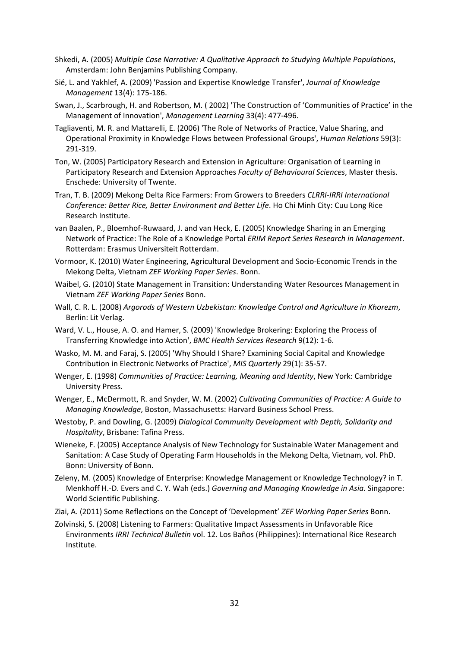- Shkedi, A. (2005) *Multiple Case Narrative: A Qualitative Approach to Studying Multiple Populations*, Amsterdam: John Benjamins Publishing Company.
- Sié, L. and Yakhlef, A. (2009) 'Passion and Expertise Knowledge Transfer', *Journal of Knowledge Management* 13(4): 175‐186.
- Swan, J., Scarbrough, H. and Robertson, M. ( 2002) 'The Construction of 'Communities of Practice' in the Management of Innovation', *Management Learning* 33(4): 477‐496.
- Tagliaventi, M. R. and Mattarelli, E. (2006) 'The Role of Networks of Practice, Value Sharing, and Operational Proximity in Knowledge Flows between Professional Groups', *Human Relations* 59(3): 291‐319.
- Ton, W. (2005) Participatory Research and Extension in Agriculture: Organisation of Learning in Participatory Research and Extension Approaches *Faculty of Behavioural Sciences*, Master thesis. Enschede: University of Twente.
- Tran, T. B. (2009) Mekong Delta Rice Farmers: From Growers to Breeders *CLRRI‐IRRI International Conference: Better Rice, Better Environment and Better Life*. Ho Chi Minh City: Cuu Long Rice Research Institute.
- van Baalen, P., Bloemhof‐Ruwaard, J. and van Heck, E. (2005) Knowledge Sharing in an Emerging Network of Practice: The Role of a Knowledge Portal *ERIM Report Series Research in Management*. Rotterdam: Erasmus Universiteit Rotterdam.
- Vormoor, K. (2010) Water Engineering, Agricultural Development and Socio‐Economic Trends in the Mekong Delta, Vietnam *ZEF Working Paper Series*. Bonn.
- Waibel, G. (2010) State Management in Transition: Understanding Water Resources Management in Vietnam *ZEF Working Paper Series* Bonn.
- Wall, C. R. L. (2008) *Argorods of Western Uzbekistan: Knowledge Control and Agriculture in Khorezm*, Berlin: Lit Verlag.
- Ward, V. L., House, A. O. and Hamer, S. (2009) 'Knowledge Brokering: Exploring the Process of Transferring Knowledge into Action', *BMC Health Services Research* 9(12): 1‐6.
- Wasko, M. M. and Faraj, S. (2005) 'Why Should I Share? Examining Social Capital and Knowledge Contribution in Electronic Networks of Practice', *MIS Quarterly* 29(1): 35‐57.
- Wenger, E. (1998) *Communities of Practice: Learning, Meaning and Identity*, New York: Cambridge University Press.
- Wenger, E., McDermott, R. and Snyder, W. M. (2002) *Cultivating Communities of Practice: A Guide to Managing Knowledge*, Boston, Massachusetts: Harvard Business School Press.
- Westoby, P. and Dowling, G. (2009) *Dialogical Community Development with Depth, Solidarity and Hospitality*, Brisbane: Tafina Press.
- Wieneke, F. (2005) Acceptance Analysis of New Technology for Sustainable Water Management and Sanitation: A Case Study of Operating Farm Households in the Mekong Delta, Vietnam, vol. PhD. Bonn: University of Bonn.
- Zeleny, M. (2005) Knowledge of Enterprise: Knowledge Management or Knowledge Technology? in T. Menkhoff H.‐D. Evers and C. Y. Wah (eds.) *Governing and Managing Knowledge in Asia*. Singapore: World Scientific Publishing.
- Ziai, A. (2011) Some Reflections on the Concept of 'Development' *ZEF Working Paper Series* Bonn.
- Zolvinski, S. (2008) Listening to Farmers: Qualitative Impact Assessments in Unfavorable Rice Environments *IRRI Technical Bulletin* vol. 12. Los Baños (Philippines): International Rice Research Institute.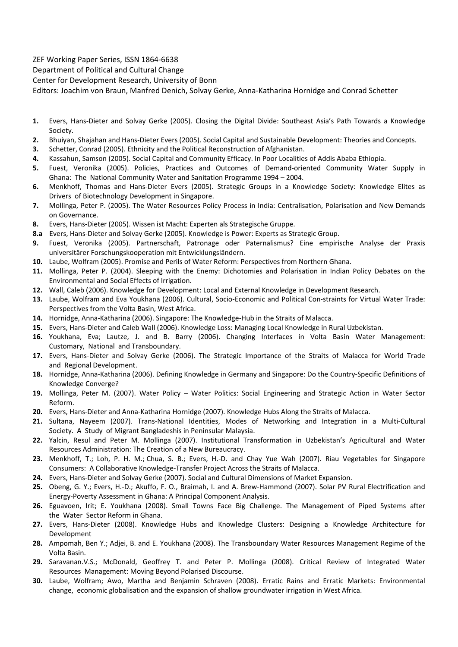ZEF Working Paper Series, ISSN 1864‐6638

Department of Political and Cultural Change

Center for Development Research, University of Bonn

Editors: Joachim von Braun, Manfred Denich, Solvay Gerke, Anna‐Katharina Hornidge and Conrad Schetter

- **1.** Evers, Hans‐Dieter and Solvay Gerke (2005). Closing the Digital Divide: Southeast Asia's Path Towards a Knowledge Society.
- **2.** Bhuiyan, Shajahan and Hans‐Dieter Evers (2005). Social Capital and Sustainable Development: Theories and Concepts.
- **3.** Schetter, Conrad (2005). Ethnicity and the Political Reconstruction of Afghanistan.
- **4.** Kassahun, Samson (2005). Social Capital and Community Efficacy. In Poor Localities of Addis Ababa Ethiopia.
- **5.** Fuest, Veronika (2005). Policies, Practices and Outcomes of Demand-oriented Community Water Supply in Ghana: The National Community Water and Sanitation Programme 1994 – 2004.
- **6.** Menkhoff, Thomas and Hans‐Dieter Evers (2005). Strategic Groups in a Knowledge Society: Knowledge Elites as Drivers of Biotechnology Development in Singapore.
- **7.** Mollinga, Peter P. (2005). The Water Resources Policy Process in India: Centralisation, Polarisation and New Demands on Governance.
- **8.** Evers, Hans‐Dieter (2005). Wissen ist Macht: Experten als Strategische Gruppe.
- **8.a** Evers, Hans‐Dieter and Solvay Gerke (2005). Knowledge is Power: Experts as Strategic Group.
- **9.** Fuest, Veronika (2005). Partnerschaft, Patronage oder Paternalismus? Eine empirische Analyse der Praxis universitärer Forschungskooperation mit Entwicklungsländern.
- **10.** Laube, Wolfram (2005). Promise and Perils of Water Reform: Perspectives from Northern Ghana.
- **11.** Mollinga, Peter P. (2004). Sleeping with the Enemy: Dichotomies and Polarisation in Indian Policy Debates on the Environmental and Social Effects of Irrigation.
- **12.** Wall, Caleb (2006). Knowledge for Development: Local and External Knowledge in Development Research.
- 13. Laube, Wolfram and Eva Youkhana (2006). Cultural, Socio-Economic and Political Con-straints for Virtual Water Trade: Perspectives from the Volta Basin, West Africa.
- **14.** Hornidge, Anna‐Katharina (2006). Singapore: The Knowledge‐Hub in the Straits of Malacca.
- **15.** Evers, Hans‐Dieter and Caleb Wall (2006). Knowledge Loss: Managing Local Knowledge in Rural Uzbekistan.
- 16. Youkhana, Eva; Lautze, J. and B. Barry (2006). Changing Interfaces in Volta Basin Water Management: Customary, National and Transboundary.
- 17. Evers, Hans-Dieter and Solvay Gerke (2006). The Strategic Importance of the Straits of Malacca for World Trade and Regional Development.
- **18.** Hornidge, Anna‐Katharina (2006). Defining Knowledge in Germany and Singapore: Do the Country‐Specific Definitions of Knowledge Converge?
- **19.** Mollinga, Peter M. (2007). Water Policy Water Politics: Social Engineering and Strategic Action in Water Sector Reform.
- **20.** Evers, Hans‐Dieter and Anna‐Katharina Hornidge (2007). Knowledge Hubs Along the Straits of Malacca.
- 21. Sultana, Nayeem (2007). Trans-National Identities, Modes of Networking and Integration in a Multi-Cultural Society. A Study of Migrant Bangladeshis in Peninsular Malaysia.
- **22.** Yalcin, Resul and Peter M. Mollinga (2007). Institutional Transformation in Uzbekistan's Agricultural and Water Resources Administration: The Creation of a New Bureaucracy.
- **23.** Menkhoff, T.; Loh, P. H. M.; Chua, S. B.; Evers, H.‐D. and Chay Yue Wah (2007). Riau Vegetables for Singapore Consumers: A Collaborative Knowledge‐Transfer Project Across the Straits of Malacca.
- **24.** Evers, Hans‐Dieter and Solvay Gerke (2007). Social and Cultural Dimensions of Market Expansion.
- **25.** Obeng, G. Y.; Evers, H.‐D.; Akuffo, F. O., Braimah, I. and A. Brew‐Hammond (2007). Solar PV Rural Electrification and Energy‐Poverty Assessment in Ghana: A Principal Component Analysis.
- **26.** Eguavoen, Irit; E. Youkhana (2008). Small Towns Face Big Challenge. The Management of Piped Systems after the Water Sector Reform in Ghana.
- **27.** Evers, Hans‐Dieter (2008). Knowledge Hubs and Knowledge Clusters: Designing a Knowledge Architecture for Development
- **28.** Ampomah, Ben Y.; Adjei, B. and E. Youkhana (2008). The Transboundary Water Resources Management Regime of the Volta Basin.
- 29. Saravanan.V.S.; McDonald, Geoffrey T. and Peter P. Mollinga (2008). Critical Review of Integrated Water Resources Management: Moving Beyond Polarised Discourse.
- **30.** Laube, Wolfram; Awo, Martha and Benjamin Schraven (2008). Erratic Rains and Erratic Markets: Environmental change, economic globalisation and the expansion of shallow groundwater irrigation in West Africa.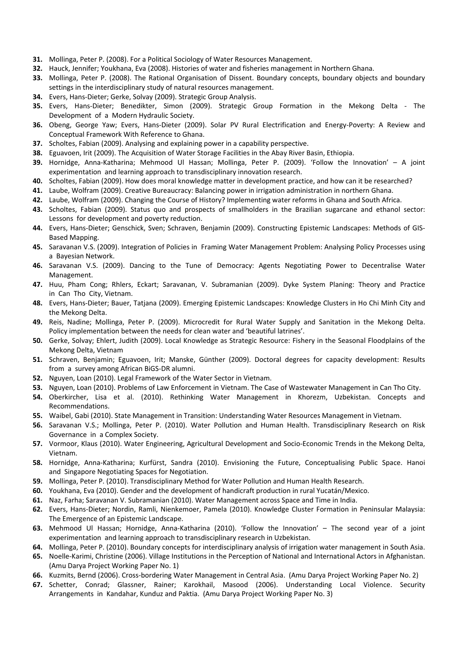- **31.** Mollinga, Peter P. (2008). For a Political Sociology of Water Resources Management.
- **32.** Hauck, Jennifer; Youkhana, Eva (2008). Histories of water and fisheries management in Northern Ghana.
- **33.** Mollinga, Peter P. (2008). The Rational Organisation of Dissent. Boundary concepts, boundary objects and boundary settings in the interdisciplinary study of natural resources management.
- **34.** Evers, Hans‐Dieter; Gerke, Solvay (2009). Strategic Group Analysis.
- **35.** Evers, Hans-Dieter; Benedikter, Simon (2009). Strategic Group Formation in the Mekong Delta The Development of a Modern Hydraulic Society.
- **36.** Obeng, George Yaw; Evers, Hans‐Dieter (2009). Solar PV Rural Electrification and Energy‐Poverty: A Review and Conceptual Framework With Reference to Ghana.
- **37.** Scholtes, Fabian (2009). Analysing and explaining power in a capability perspective.
- **38.** Eguavoen, Irit (2009). The Acquisition of Water Storage Facilities in the Abay River Basin, Ethiopia.
- **39.** Hornidge, Anna‐Katharina; Mehmood Ul Hassan; Mollinga, Peter P. (2009). 'Follow the Innovation' A joint experimentation and learning approach to transdisciplinary innovation research.
- **40.** Scholtes, Fabian (2009). How does moral knowledge matter in development practice, and how can it be researched?
- **41.** Laube, Wolfram (2009). Creative Bureaucracy: Balancing power in irrigation administration in northern Ghana.
- **42.** Laube, Wolfram (2009). Changing the Course of History? Implementing water reforms in Ghana and South Africa.
- 43. Scholtes, Fabian (2009). Status quo and prospects of smallholders in the Brazilian sugarcane and ethanol sector: Lessons for development and poverty reduction.
- **44.** Evers, Hans‐Dieter; Genschick, Sven; Schraven, Benjamin (2009). Constructing Epistemic Landscapes: Methods of GIS‐ Based Mapping.
- **45.** Saravanan V.S. (2009). Integration of Policies in Framing Water Management Problem: Analysing Policy Processes using a Bayesian Network.
- **46.** Saravanan V.S. (2009). Dancing to the Tune of Democracy: Agents Negotiating Power to Decentralise Water Management.
- **47.** Huu, Pham Cong; Rhlers, Eckart; Saravanan, V. Subramanian (2009). Dyke System Planing: Theory and Practice in Can Tho City, Vietnam.
- **48.** Evers, Hans‐Dieter; Bauer, Tatjana (2009). Emerging Epistemic Landscapes: Knowledge Clusters in Ho Chi Minh City and the Mekong Delta.
- **49.** Reis, Nadine; Mollinga, Peter P. (2009). Microcredit for Rural Water Supply and Sanitation in the Mekong Delta. Policy implementation between the needs for clean water and 'beautiful latrines'.
- **50.** Gerke, Solvay; Ehlert, Judith (2009). Local Knowledge as Strategic Resource: Fishery in the Seasonal Floodplains of the Mekong Delta, Vietnam
- **51.** Schraven, Benjamin; Eguavoen, Irit; Manske, Günther (2009). Doctoral degrees for capacity development: Results from a survey among African BiGS‐DR alumni.
- **52.** Nguyen, Loan (2010). Legal Framework of the Water Sector in Vietnam.
- **53.** Nguyen, Loan (2010). Problems of Law Enforcement in Vietnam. The Case of Wastewater Management in Can Tho City.
- **54.** Oberkircher, Lisa et al. (2010). Rethinking Water Management in Khorezm, Uzbekistan. Concepts and Recommendations.
- **55.** Waibel, Gabi (2010). State Management in Transition: Understanding Water Resources Management in Vietnam.
- **56.** Saravanan V.S.; Mollinga, Peter P. (2010). Water Pollution and Human Health. Transdisciplinary Research on Risk Governance in a Complex Society.
- **57.** Vormoor, Klaus (2010). Water Engineering, Agricultural Development and Socio‐Economic Trends in the Mekong Delta, Vietnam.
- **58.** Hornidge, Anna‐Katharina; Kurfürst, Sandra (2010). Envisioning the Future, Conceptualising Public Space. Hanoi and Singapore Negotiating Spaces for Negotiation.
- **59.** Mollinga, Peter P. (2010). Transdisciplinary Method for Water Pollution and Human Health Research.
- **60.** Youkhana, Eva (2010). Gender and the development of handicraft production in rural Yucatán/Mexico.
- **61.** Naz, Farha; Saravanan V. Subramanian (2010). Water Management across Space and Time in India.
- **62.** Evers, Hans‐Dieter; Nordin, Ramli, Nienkemoer, Pamela (2010). Knowledge Cluster Formation in Peninsular Malaysia: The Emergence of an Epistemic Landscape.
- **63.** Mehmood Ul Hassan; Hornidge, Anna‐Katharina (2010). 'Follow the Innovation' The second year of a joint experimentation and learning approach to transdisciplinary research in Uzbekistan.
- **64.** Mollinga, Peter P. (2010). Boundary concepts for interdisciplinary analysis of irrigation water management in South Asia.
- **65.** Noelle‐Karimi, Christine (2006). Village Institutions in the Perception of National and International Actors in Afghanistan. (Amu Darya Project Working Paper No. 1)
- **66.** Kuzmits, Bernd (2006). Cross‐bordering Water Management in Central Asia. (Amu Darya Project Working Paper No. 2)
- **67.** Schetter, Conrad; Glassner, Rainer; Karokhail, Masood (2006). Understanding Local Violence. Security Arrangements in Kandahar, Kunduz and Paktia. (Amu Darya Project Working Paper No. 3)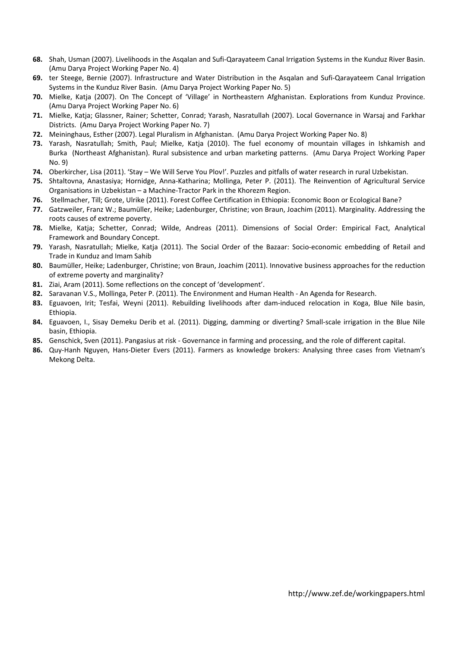- **68.** Shah, Usman (2007). Livelihoods in the Asqalan and Sufi‐Qarayateem Canal Irrigation Systems in the Kunduz River Basin. (Amu Darya Project Working Paper No. 4)
- **69.** ter Steege, Bernie (2007). Infrastructure and Water Distribution in the Asqalan and Sufi‐Qarayateem Canal Irrigation Systems in the Kunduz River Basin. (Amu Darya Project Working Paper No. 5)
- **70.** Mielke, Katja (2007). On The Concept of 'Village' in Northeastern Afghanistan. Explorations from Kunduz Province. (Amu Darya Project Working Paper No. 6)
- **71.** Mielke, Katja; Glassner, Rainer; Schetter, Conrad; Yarash, Nasratullah (2007). Local Governance in Warsaj and Farkhar Districts. (Amu Darya Project Working Paper No. 7)
- **72.** Meininghaus, Esther (2007). Legal Pluralism in Afghanistan. (Amu Darya Project Working Paper No. 8)
- **73.** Yarash, Nasratullah; Smith, Paul; Mielke, Katja (2010). The fuel economy of mountain villages in Ishkamish and Burka (Northeast Afghanistan). Rural subsistence and urban marketing patterns. (Amu Darya Project Working Paper No. 9)
- **74.** Oberkircher, Lisa (2011). 'Stay We Will Serve You Plov!'. Puzzles and pitfalls of water research in rural Uzbekistan.
- **75.** Shtaltovna, Anastasiya; Hornidge, Anna‐Katharina; Mollinga, Peter P. (2011). The Reinvention of Agricultural Service Organisations in Uzbekistan – a Machine‐Tractor Park in the Khorezm Region.
- **76.** Stellmacher, Till; Grote, Ulrike (2011). Forest Coffee Certification in Ethiopia: Economic Boon or Ecological Bane?
- **77.** Gatzweiler, Franz W.; Baumüller, Heike; Ladenburger, Christine; von Braun, Joachim (2011). Marginality. Addressing the roots causes of extreme poverty.
- **78.** Mielke, Katja; Schetter, Conrad; Wilde, Andreas (2011). Dimensions of Social Order: Empirical Fact, Analytical Framework and Boundary Concept.
- **79.** Yarash, Nasratullah; Mielke, Katja (2011). The Social Order of the Bazaar: Socio‐economic embedding of Retail and Trade in Kunduz and Imam Sahib
- **80.** Baumüller, Heike; Ladenburger, Christine; von Braun, Joachim (2011). Innovative business approaches for the reduction of extreme poverty and marginality?
- **81.** Ziai, Aram (2011). Some reflections on the concept of 'development'.
- **82.** Saravanan V.S., Mollinga, Peter P. (2011). The Environment and Human Health ‐ An Agenda for Research.
- 83. Eguavoen, Irit; Tesfai, Weyni (2011). Rebuilding livelihoods after dam-induced relocation in Koga, Blue Nile basin, Ethiopia.
- **84.** Eguavoen, I., Sisay Demeku Derib et al. (2011). Digging, damming or diverting? Small‐scale irrigation in the Blue Nile basin, Ethiopia.
- **85.** Genschick, Sven (2011). Pangasius at risk ‐ Governance in farming and processing, and the role of different capital.
- **86.** Quy‐Hanh Nguyen, Hans‐Dieter Evers (2011). Farmers as knowledge brokers: Analysing three cases from Vietnam's Mekong Delta.